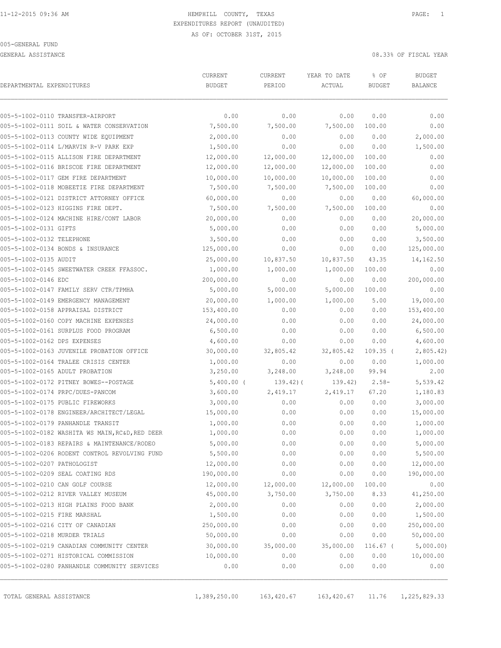GENERAL ASSISTANCE 08.33% OF FISCAL YEAR

| DEPARTMENTAL EXPENDITURES     |                                                 | CURRENT<br><b>BUDGET</b> | CURRENT<br>PERIOD | YEAR TO DATE<br>ACTUAL | % OF<br><b>BUDGET</b> | <b>BUDGET</b><br><b>BALANCE</b> |
|-------------------------------|-------------------------------------------------|--------------------------|-------------------|------------------------|-----------------------|---------------------------------|
|                               |                                                 |                          |                   |                        |                       |                                 |
|                               | 005-5-1002-0110 TRANSFER-AIRPORT                | 0.00                     | 0.00              | 0.00                   | 0.00                  | 0.00                            |
|                               | 005-5-1002-0111 SOIL & WATER CONSERVATION       | 7,500.00                 | 7,500.00          | 7,500.00               | 100.00                | 0.00                            |
|                               | 005-5-1002-0113 COUNTY WIDE EQUIPMENT           | 2,000.00                 | 0.00              | 0.00                   | 0.00                  | 2,000.00                        |
|                               | 005-5-1002-0114 L/MARVIN R-V PARK EXP           | 1,500.00                 | 0.00              | 0.00                   | 0.00                  | 1,500.00                        |
|                               | 005-5-1002-0115 ALLISON FIRE DEPARTMENT         | 12,000.00                | 12,000.00         | 12,000.00              | 100.00                | 0.00                            |
|                               | 005-5-1002-0116 BRISCOE FIRE DEPARTMENT         | 12,000.00                | 12,000.00         | 12,000.00              | 100.00                | 0.00                            |
|                               | 005-5-1002-0117 GEM FIRE DEPARTMENT             | 10,000.00                | 10,000.00         | 10,000.00              | 100.00                | 0.00                            |
|                               | 005-5-1002-0118 MOBEETIE FIRE DEPARTMENT        | 7,500.00                 | 7,500.00          | 7,500.00               | 100.00                | 0.00                            |
|                               | 005-5-1002-0121 DISTRICT ATTORNEY OFFICE        | 60,000.00                | 0.00              | 0.00                   | 0.00                  | 60,000.00                       |
|                               | 005-5-1002-0123 HIGGINS FIRE DEPT.              | 7,500.00                 | 7,500.00          | 7,500.00               | 100.00                | 0.00                            |
|                               | 005-5-1002-0124 MACHINE HIRE/CONT LABOR         | 20,000.00                | 0.00              | 0.00                   | 0.00                  | 20,000.00                       |
| 005-5-1002-0131 GIFTS         |                                                 | 5,000.00                 | 0.00              | 0.00                   | 0.00                  | 5,000.00                        |
| 005-5-1002-0132 TELEPHONE     |                                                 | 3,500.00                 | 0.00              | 0.00                   | 0.00                  | 3,500.00                        |
|                               | 005-5-1002-0134 BONDS & INSURANCE               | 125,000.00               | 0.00              | 0.00                   | 0.00                  | 125,000.00                      |
| 005-5-1002-0135 AUDIT         |                                                 | 25,000.00                | 10,837.50         | 10,837.50              | 43.35                 | 14,162.50                       |
|                               | 005-5-1002-0145 SWEETWATER CREEK FFASSOC.       | 1,000.00                 | 1,000.00          | 1,000.00               | 100.00                | 0.00                            |
| 005-5-1002-0146 EDC           |                                                 | 200,000.00               | 0.00              | 0.00                   | 0.00                  | 200,000.00                      |
|                               | 005-5-1002-0147 FAMILY SERV CTR/TPMHA           | 5,000.00                 | 5,000.00          | 5,000.00               | 100.00                | 0.00                            |
|                               | 005-5-1002-0149 EMERGENCY MANAGEMENT            | 20,000.00                | 1,000.00          | 1,000.00               | 5.00                  | 19,000.00                       |
|                               | 005-5-1002-0158 APPRAISAL DISTRICT              | 153,400.00               | 0.00              | 0.00                   | 0.00                  | 153,400.00                      |
|                               | 005-5-1002-0160 COPY MACHINE EXPENSES           | 24,000.00                | 0.00              | 0.00                   | 0.00                  | 24,000.00                       |
|                               | 005-5-1002-0161 SURPLUS FOOD PROGRAM            | 6,500.00                 | 0.00              | 0.00                   | 0.00                  | 6,500.00                        |
| 005-5-1002-0162 DPS EXPENSES  |                                                 | 4,600.00                 | 0.00              | 0.00                   | 0.00                  | 4,600.00                        |
|                               | 005-5-1002-0163 JUVENILE PROBATION OFFICE       | 30,000.00                | 32,805.42         | 32,805.42              | $109.35$ (            | 2,805.42)                       |
|                               | 005-5-1002-0164 TRALEE CRISIS CENTER            | 1,000.00                 | 0.00              | 0.00                   | 0.00                  | 1,000.00                        |
|                               | 005-5-1002-0165 ADULT PROBATION                 | 3,250.00                 | 3,248.00          | 3,248.00               | 99.94                 | 2.00                            |
|                               | 005-5-1002-0172 PITNEY BOWES--POSTAGE           | $5,400.00$ (             | $139.42$ ) (      | 139.42)                | $2.58-$               | 5,539.42                        |
|                               | 005-5-1002-0174 PRPC/DUES-PANCOM                | 3,600.00                 | 2,419.17          | 2,419.17               | 67.20                 | 1,180.83                        |
|                               | 005-5-1002-0175 PUBLIC FIREWORKS                | 3,000.00                 | 0.00              | 0.00                   | 0.00                  | 3,000.00                        |
|                               | 005-5-1002-0178 ENGINEER/ARCHITECT/LEGAL        | 15,000.00                | 0.00              | 0.00                   | 0.00                  | 15,000.00                       |
|                               | 005-5-1002-0179 PANHANDLE TRANSIT               | 1,000.00                 | 0.00              | 0.00                   | 0.00                  | 1,000.00                        |
|                               | 005-5-1002-0182 WASHITA WS MAIN, RC&D, RED DEER | 1,000.00                 | 0.00              | 0.00                   | 0.00                  | 1,000.00                        |
|                               | 005-5-1002-0183 REPAIRS & MAINTENANCE/RODEO     | 5,000.00                 | 0.00              | 0.00                   | 0.00                  | 5,000.00                        |
|                               | 005-5-1002-0206 RODENT CONTROL REVOLVING FUND   | 5,500.00                 | 0.00              | 0.00                   | 0.00                  | 5,500.00                        |
| 005-5-1002-0207 PATHOLOGIST   |                                                 | 12,000.00                | 0.00              | 0.00                   | 0.00                  | 12,000.00                       |
|                               | 005-5-1002-0209 SEAL COATING RDS                | 190,000.00               | 0.00              | 0.00                   | 0.00                  | 190,000.00                      |
|                               | 005-5-1002-0210 CAN GOLF COURSE                 | 12,000.00                | 12,000.00         | 12,000.00              | 100.00                | 0.00                            |
|                               | 005-5-1002-0212 RIVER VALLEY MUSEUM             | 45,000.00                | 3,750.00          | 3,750.00               | 8.33                  | 41,250.00                       |
|                               | 005-5-1002-0213 HIGH PLAINS FOOD BANK           | 2,000.00                 | 0.00              | 0.00                   | 0.00                  | 2,000.00                        |
| 005-5-1002-0215 FIRE MARSHAL  |                                                 | 1,500.00                 | 0.00              | 0.00                   | 0.00                  | 1,500.00                        |
|                               | 005-5-1002-0216 CITY OF CANADIAN                | 250,000.00               | 0.00              | 0.00                   | 0.00                  | 250,000.00                      |
| 005-5-1002-0218 MURDER TRIALS |                                                 | 50,000.00                | 0.00              | 0.00                   | 0.00                  | 50,000.00                       |
|                               | 005-5-1002-0219 CANADIAN COMMUNITY CENTER       | 30,000.00                | 35,000.00         | 35,000.00              | $116.67$ (            | 5,000.00)                       |
|                               | 005-5-1002-0271 HISTORICAL COMMISSION           | 10,000.00                | 0.00              | 0.00                   | 0.00                  | 10,000.00                       |
|                               | 005-5-1002-0280 PANHANDLE COMMUNITY SERVICES    | 0.00                     | 0.00              | 0.00                   | 0.00                  | 0.00                            |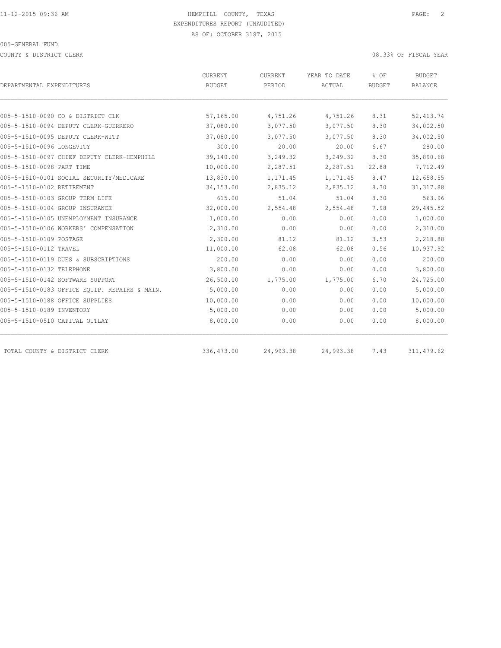COUNTY & DISTRICT CLERK 08.33% OF FISCAL YEAR

| DEPARTMENTAL EXPENDITURES                     | CURRENT<br><b>BUDGET</b> | CURRENT<br>PERIOD | YEAR TO DATE<br>ACTUAL | % OF<br><b>BUDGET</b> | <b>BUDGET</b><br><b>BALANCE</b> |
|-----------------------------------------------|--------------------------|-------------------|------------------------|-----------------------|---------------------------------|
|                                               |                          |                   |                        |                       |                                 |
| 005-5-1510-0090 CO & DISTRICT CLK             | 57,165.00                | 4,751.26          | 4,751.26               | 8.31                  | 52, 413.74                      |
| 005-5-1510-0094 DEPUTY CLERK-GUERRERO         | 37,080.00                | 3,077.50          | 3,077.50               | 8.30                  | 34,002.50                       |
| 005-5-1510-0095 DEPUTY CLERK-WITT             | 37,080.00                | 3,077.50          | 3,077.50               | 8.30                  | 34,002.50                       |
| 005-5-1510-0096 LONGEVITY                     | 300.00                   | 20.00             | 20.00                  | 6.67                  | 280.00                          |
| 005-5-1510-0097 CHIEF DEPUTY CLERK-HEMPHILL   | 39,140.00                | 3,249.32          | 3,249.32               | 8.30                  | 35,890.68                       |
| 005-5-1510-0098 PART TIME                     | 10,000.00                | 2,287.51          | 2,287.51               | 22.88                 | 7,712.49                        |
| 005-5-1510-0101 SOCIAL SECURITY/MEDICARE      | 13,830.00                | 1,171.45          | 1,171.45               | 8.47                  | 12,658.55                       |
| 005-5-1510-0102 RETIREMENT                    | 34,153.00                | 2,835.12          | 2,835.12               | 8.30                  | 31, 317.88                      |
| 005-5-1510-0103 GROUP TERM LIFE               | 615.00                   | 51.04             | 51.04                  | 8.30                  | 563.96                          |
| 005-5-1510-0104 GROUP INSURANCE               | 32,000.00                | 2,554.48          | 2,554.48               | 7.98                  | 29,445.52                       |
| 005-5-1510-0105 UNEMPLOYMENT INSURANCE        | 1,000.00                 | 0.00              | 0.00                   | 0.00                  | 1,000.00                        |
| 005-5-1510-0106 WORKERS' COMPENSATION         | 2,310.00                 | 0.00              | 0.00                   | 0.00                  | 2,310.00                        |
| 005-5-1510-0109 POSTAGE                       | 2,300.00                 | 81.12             | 81.12                  | 3.53                  | 2,218.88                        |
| 005-5-1510-0112 TRAVEL                        | 11,000.00                | 62.08             | 62.08                  | 0.56                  | 10,937.92                       |
| 005-5-1510-0119 DUES & SUBSCRIPTIONS          | 200.00                   | 0.00              | 0.00                   | 0.00                  | 200.00                          |
| 005-5-1510-0132 TELEPHONE                     | 3,800.00                 | 0.00              | 0.00                   | 0.00                  | 3,800.00                        |
| 005-5-1510-0142 SOFTWARE SUPPORT              | 26,500.00                | 1,775.00          | 1,775.00               | 6.70                  | 24,725.00                       |
| 005-5-1510-0183 OFFICE EQUIP. REPAIRS & MAIN. | 5,000.00                 | 0.00              | 0.00                   | 0.00                  | 5,000.00                        |
| 005-5-1510-0188 OFFICE SUPPLIES               | 10,000.00                | 0.00              | 0.00                   | 0.00                  | 10,000.00                       |
| 005-5-1510-0189 INVENTORY                     | 5,000.00                 | 0.00              | 0.00                   | 0.00                  | 5,000.00                        |
| 005-5-1510-0510 CAPITAL OUTLAY                | 8,000.00                 | 0.00              | 0.00                   | 0.00                  | 8,000.00                        |
| TOTAL COUNTY & DISTRICT CLERK                 | 336,473.00               | 24,993.38         | 24,993.38              | 7.43                  | 311, 479.62                     |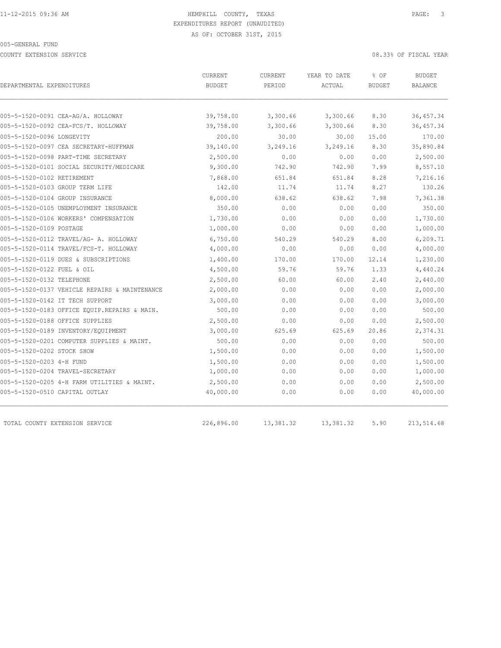COUNTY EXTENSION SERVICE 08.33% OF FISCAL YEAR

| DEPARTMENTAL EXPENDITURES                     | CURRENT<br><b>BUDGET</b> | CURRENT<br>PERIOD | YEAR TO DATE<br>ACTUAL | % OF<br><b>BUDGET</b> | <b>BUDGET</b><br><b>BALANCE</b> |
|-----------------------------------------------|--------------------------|-------------------|------------------------|-----------------------|---------------------------------|
|                                               |                          |                   |                        |                       |                                 |
| 005-5-1520-0091 CEA-AG/A. HOLLOWAY            | 39,758.00                | 3,300.66          | 3,300.66               | 8.30                  | 36, 457.34                      |
| 005-5-1520-0092 CEA-FCS/T. HOLLOWAY           | 39,758.00                | 3,300.66          | 3,300.66               | 8.30                  | 36, 457.34                      |
| 005-5-1520-0096 LONGEVITY                     | 200.00                   | 30.00             | 30.00                  | 15.00                 | 170.00                          |
| 005-5-1520-0097 CEA SECRETARY-HUFFMAN         | 39,140.00                | 3,249.16          | 3,249.16               | 8.30                  | 35,890.84                       |
| 005-5-1520-0098 PART-TIME SECRETARY           | 2,500.00                 | 0.00              | 0.00                   | 0.00                  | 2,500.00                        |
| 005-5-1520-0101 SOCIAL SECURITY/MEDICARE      | 9,300.00                 | 742.90            | 742.90                 | 7.99                  | 8,557.10                        |
| 005-5-1520-0102 RETIREMENT                    | 7,868.00                 | 651.84            | 651.84                 | 8.28                  | 7,216.16                        |
| 005-5-1520-0103 GROUP TERM LIFE               | 142.00                   | 11.74             | 11.74                  | 8.27                  | 130.26                          |
| 005-5-1520-0104 GROUP INSURANCE               | 8,000.00                 | 638.62            | 638.62                 | 7.98                  | 7,361.38                        |
| 005-5-1520-0105 UNEMPLOYMENT INSURANCE        | 350.00                   | 0.00              | 0.00                   | 0.00                  | 350.00                          |
| 005-5-1520-0106 WORKERS' COMPENSATION         | 1,730.00                 | 0.00              | 0.00                   | 0.00                  | 1,730.00                        |
| 005-5-1520-0109 POSTAGE                       | 1,000.00                 | 0.00              | 0.00                   | 0.00                  | 1,000.00                        |
| 005-5-1520-0112 TRAVEL/AG- A. HOLLOWAY        | 6,750.00                 | 540.29            | 540.29                 | 8.00                  | 6,209.71                        |
| 005-5-1520-0114 TRAVEL/FCS-T. HOLLOWAY        | 4,000.00                 | 0.00              | 0.00                   | 0.00                  | 4,000.00                        |
| 005-5-1520-0119 DUES & SUBSCRIPTIONS          | 1,400.00                 | 170.00            | 170.00                 | 12.14                 | 1,230.00                        |
| 005-5-1520-0122 FUEL & OIL                    | 4,500.00                 | 59.76             | 59.76                  | 1.33                  | 4,440.24                        |
| 005-5-1520-0132 TELEPHONE                     | 2,500.00                 | 60.00             | 60.00                  | 2.40                  | 2,440.00                        |
| 005-5-1520-0137 VEHICLE REPAIRS & MAINTENANCE | 2,000.00                 | 0.00              | 0.00                   | 0.00                  | 2,000.00                        |
| 005-5-1520-0142 IT TECH SUPPORT               | 3,000.00                 | 0.00              | 0.00                   | 0.00                  | 3,000.00                        |
| 005-5-1520-0183 OFFICE EQUIP.REPAIRS & MAIN.  | 500.00                   | 0.00              | 0.00                   | 0.00                  | 500.00                          |
| 005-5-1520-0188 OFFICE SUPPLIES               | 2,500.00                 | 0.00              | 0.00                   | 0.00                  | 2,500.00                        |
| 005-5-1520-0189 INVENTORY/EQUIPMENT           | 3,000.00                 | 625.69            | 625.69                 | 20.86                 | 2,374.31                        |
| 005-5-1520-0201 COMPUTER SUPPLIES & MAINT.    | 500.00                   | 0.00              | 0.00                   | 0.00                  | 500.00                          |
| 005-5-1520-0202 STOCK SHOW                    | 1,500.00                 | 0.00              | 0.00                   | 0.00                  | 1,500.00                        |
| 005-5-1520-0203 4-H FUND                      | 1,500.00                 | 0.00              | 0.00                   | 0.00                  | 1,500.00                        |
| 005-5-1520-0204 TRAVEL-SECRETARY              | 1,000.00                 | 0.00              | 0.00                   | 0.00                  | 1,000.00                        |
| 005-5-1520-0205 4-H FARM UTILITIES & MAINT.   | 2,500.00                 | 0.00              | 0.00                   | 0.00                  | 2,500.00                        |
| 005-5-1520-0510 CAPITAL OUTLAY                | 40,000.00                | 0.00              | 0.00                   | 0.00                  | 40,000.00                       |
| TOTAL COUNTY EXTENSION SERVICE                | 226,896.00               | 13,381.32         | 13,381.32              | 5.90                  | 213,514.68                      |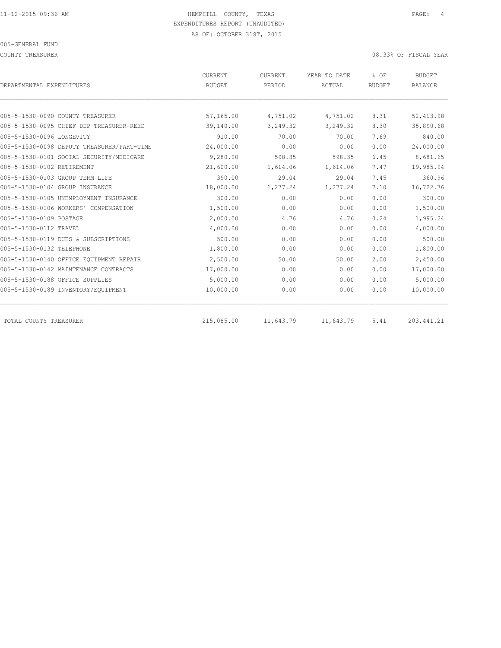COUNTY TREASURER COUNTY TREASURER COUNTY TREASURER

| DEPARTMENTAL EXPENDITURES                  | CURRENT<br><b>BUDGET</b> | CURRENT<br>PERIOD | YEAR TO DATE<br>ACTUAL | % OF<br><b>BUDGET</b> | <b>BUDGET</b><br><b>BALANCE</b> |
|--------------------------------------------|--------------------------|-------------------|------------------------|-----------------------|---------------------------------|
|                                            |                          |                   |                        |                       |                                 |
| 005-5-1530-0090 COUNTY TREASURER           | 57,165.00                | 4,751.02          | 4,751.02               | 8.31                  | 52, 413.98                      |
| 005-5-1530-0095 CHIEF DEP TREASURER-REED   | 39,140.00                | 3,249.32          | 3,249.32               | 8.30                  | 35,890.68                       |
| 005-5-1530-0096 LONGEVITY                  | 910.00                   | 70.00             | 70.00                  | 7.69                  | 840.00                          |
| 005-5-1530-0098 DEPUTY TREASURER/PART-TIME | 24,000.00                | 0.00              | 0.00                   | 0.00                  | 24,000.00                       |
| 005-5-1530-0101 SOCIAL SECURITY/MEDICARE   | 9,280.00                 | 598.35            | 598.35                 | 6.45                  | 8,681.65                        |
| 005-5-1530-0102 RETIREMENT                 | 21,600.00                | 1,614.06          | 1,614.06               | 7.47                  | 19,985.94                       |
| 005-5-1530-0103 GROUP TERM LIFE            | 390.00                   | 29.04             | 29.04                  | 7.45                  | 360.96                          |
| 005-5-1530-0104 GROUP INSURANCE            | 18,000.00                | 1,277.24          | 1,277.24               | 7.10                  | 16,722.76                       |
| 005-5-1530-0105 UNEMPLOYMENT INSURANCE     | 300.00                   | 0.00              | 0.00                   | 0.00                  | 300.00                          |
| 005-5-1530-0106 WORKERS' COMPENSATION      | 1,500.00                 | 0.00              | 0.00                   | 0.00                  | 1,500.00                        |
| 005-5-1530-0109 POSTAGE                    | 2,000.00                 | 4.76              | 4.76                   | 0.24                  | 1,995.24                        |
| 005-5-1530-0112 TRAVEL                     | 4,000.00                 | 0.00              | 0.00                   | 0.00                  | 4,000.00                        |
| 005-5-1530-0119 DUES & SUBSCRIPTIONS       | 500.00                   | 0.00              | 0.00                   | 0.00                  | 500.00                          |
| 005-5-1530-0132 TELEPHONE                  | 1,800.00                 | 0.00              | 0.00                   | 0.00                  | 1,800.00                        |
| 005-5-1530-0140 OFFICE EOUIPMENT REPAIR    | 2,500.00                 | 50.00             | 50.00                  | 2.00                  | 2,450.00                        |
| 005-5-1530-0142 MAINTENANCE CONTRACTS      | 17,000.00                | 0.00              | 0.00                   | 0.00                  | 17,000.00                       |
| 005-5-1530-0188 OFFICE SUPPLIES            | 5,000.00                 | 0.00              | 0.00                   | 0.00                  | 5,000.00                        |
| 005-5-1530-0189 INVENTORY/EQUIPMENT        | 10,000.00                | 0.00              | 0.00                   | 0.00                  | 10,000.00                       |
| TOTAL COUNTY TREASURER                     | 215,085.00               | 11,643.79         | 11,643.79              | 5.41                  | 203, 441.21                     |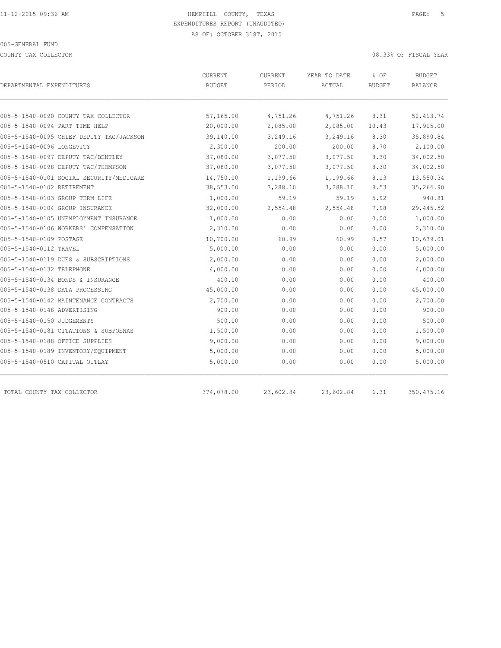COUNTY TAX COLLECTOR **COULECTOR COULECTOR COUNTY TAX COLLECTOR** 

| DEPARTMENTAL EXPENDITURES                | CURRENT<br><b>BUDGET</b> | CURRENT<br>PERIOD | YEAR TO DATE<br>ACTUAL | % OF<br><b>BUDGET</b> | <b>BUDGET</b><br><b>BALANCE</b> |
|------------------------------------------|--------------------------|-------------------|------------------------|-----------------------|---------------------------------|
|                                          |                          |                   |                        |                       |                                 |
| 005-5-1540-0090 COUNTY TAX COLLECTOR     | 57,165.00                | 4,751.26          | 4,751.26               | 8.31                  | 52, 413.74                      |
| 005-5-1540-0094 PART TIME HELP           | 20,000.00                | 2,085.00          | 2,085.00               | 10.43                 | 17,915.00                       |
| 005-5-1540-0095 CHIEF DEPUTY TAC/JACKSON | 39,140.00                | 3,249.16          | 3,249.16               | 8.30                  | 35,890.84                       |
| 005-5-1540-0096 LONGEVITY                | 2,300.00                 | 200.00            | 200.00                 | 8.70                  | 2,100.00                        |
| 005-5-1540-0097 DEPUTY TAC/BENTLEY       | 37,080.00                | 3,077.50          | 3,077.50               | 8.30                  | 34,002.50                       |
| 005-5-1540-0098 DEPUTY TAC/THOMPSON      | 37,080.00                | 3,077.50          | 3,077.50               | 8.30                  | 34,002.50                       |
| 005-5-1540-0101 SOCIAL SECURITY/MEDICARE | 14,750.00                | 1,199.66          | 1,199.66               | 8.13                  | 13,550.34                       |
| 005-5-1540-0102 RETIREMENT               | 38,553.00                | 3,288.10          | 3,288.10               | 8.53                  | 35,264.90                       |
| 005-5-1540-0103 GROUP TERM LIFE          | 1,000.00                 | 59.19             | 59.19                  | 5.92                  | 940.81                          |
| 005-5-1540-0104 GROUP INSURANCE          | 32,000.00                | 2,554.48          | 2,554.48               | 7.98                  | 29,445.52                       |
| 005-5-1540-0105 UNEMPLOYMENT INSURANCE   | 1,000.00                 | 0.00              | 0.00                   | 0.00                  | 1,000.00                        |
| 005-5-1540-0106 WORKERS' COMPENSATION    | 2,310.00                 | 0.00              | 0.00                   | 0.00                  | 2,310.00                        |
| 005-5-1540-0109 POSTAGE                  | 10,700.00                | 60.99             | 60.99                  | 0.57                  | 10,639.01                       |
| 005-5-1540-0112 TRAVEL                   | 5,000.00                 | 0.00              | 0.00                   | 0.00                  | 5,000.00                        |
| 005-5-1540-0119 DUES & SUBSCRIPTIONS     | 2,000.00                 | 0.00              | 0.00                   | 0.00                  | 2,000.00                        |
| 005-5-1540-0132 TELEPHONE                | 4,000.00                 | 0.00              | 0.00                   | 0.00                  | 4,000.00                        |
| 005-5-1540-0134 BONDS & INSURANCE        | 400.00                   | 0.00              | 0.00                   | 0.00                  | 400.00                          |
| 005-5-1540-0138 DATA PROCESSING          | 45,000.00                | 0.00              | 0.00                   | 0.00                  | 45,000.00                       |
| 005-5-1540-0142 MAINTENANCE CONTRACTS    | 2,700.00                 | 0.00              | 0.00                   | 0.00                  | 2,700.00                        |
| 005-5-1540-0148 ADVERTISING              | 900.00                   | 0.00              | 0.00                   | 0.00                  | 900.00                          |
| 005-5-1540-0150 JUDGEMENTS               | 500.00                   | 0.00              | 0.00                   | 0.00                  | 500.00                          |
| 005-5-1540-0181 CITATIONS & SUBPOENAS    | 1,500.00                 | 0.00              | 0.00                   | 0.00                  | 1,500.00                        |
| 005-5-1540-0188 OFFICE SUPPLIES          | 9,000.00                 | 0.00              | 0.00                   | 0.00                  | 9,000.00                        |
| 005-5-1540-0189 INVENTORY/EQUIPMENT      | 5,000.00                 | 0.00              | 0.00                   | 0.00                  | 5,000.00                        |
| 005-5-1540-0510 CAPITAL OUTLAY           | 5,000.00                 | 0.00              | 0.00                   | 0.00                  | 5,000.00                        |
| TOTAL COUNTY TAX COLLECTOR               | 374,078.00               | 23,602.84         | 23,602.84              | 6.31                  | 350, 475.16                     |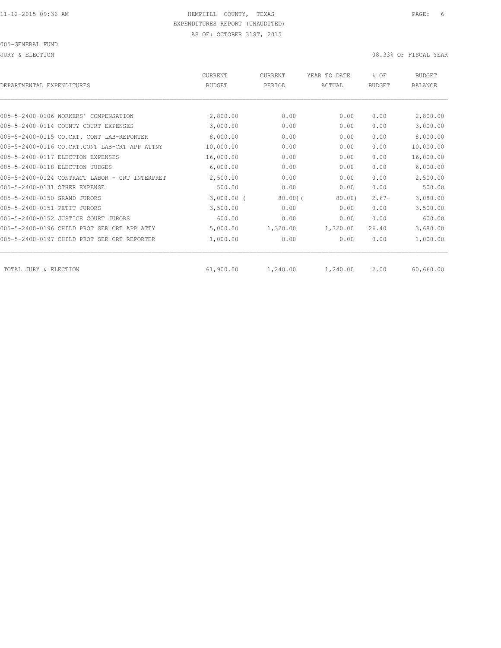JURY & ELECTION 08.33% OF FISCAL YEAR

| DEPARTMENTAL EXPENDITURES                      | CURRENT<br><b>BUDGET</b> | <b>CURRENT</b><br>PERIOD | YEAR TO DATE<br>ACTUAL | % OF<br><b>BUDGET</b> | <b>BUDGET</b><br><b>BALANCE</b> |
|------------------------------------------------|--------------------------|--------------------------|------------------------|-----------------------|---------------------------------|
|                                                |                          |                          |                        |                       |                                 |
| 005-5-2400-0106 WORKERS' COMPENSATION          | 2,800.00                 | 0.00                     | 0.00                   | 0.00                  | 2,800.00                        |
| 005-5-2400-0114 COUNTY COURT EXPENSES          | 3,000.00                 | 0.00                     | 0.00                   | 0.00                  | 3,000.00                        |
| 005-5-2400-0115 CO.CRT. CONT<br>LAB-REPORTER   | 8,000.00                 | 0.00                     | 0.00                   | 0.00                  | 8,000.00                        |
| 005-5-2400-0116 CO.CRT.CONT LAB-CRT APP ATTNY  | 10,000.00                | 0.00                     | 0.00                   | 0.00                  | 10,000.00                       |
| 005-5-2400-0117 ELECTION EXPENSES              | 16,000.00                | 0.00                     | 0.00                   | 0.00                  | 16,000.00                       |
| 005-5-2400-0118 ELECTION JUDGES                | 6,000.00                 | 0.00                     | 0.00                   | 0.00                  | 6,000.00                        |
| 005-5-2400-0124 CONTRACT LABOR - CRT INTERPRET | 2,500.00                 | 0.00                     | 0.00                   | 0.00                  | 2,500.00                        |
| 005-5-2400-0131 OTHER EXPENSE                  | 500.00                   | 0.00                     | 0.00                   | 0.00                  | 500.00                          |
| 005-5-2400-0150 GRAND JURORS                   | $3,000.00$ (             | 80.00(                   | 80.00                  | $2.67-$               | 3,080.00                        |
| 005-5-2400-0151 PETIT JURORS                   | 3,500.00                 | 0.00                     | 0.00                   | 0.00                  | 3,500.00                        |
| 005-5-2400-0152 JUSTICE COURT JURORS           | 600.00                   | 0.00                     | 0.00                   | 0.00                  | 600.00                          |
| 005-5-2400-0196 CHILD PROT SER CRT APP ATTY    | 5,000.00                 | 1,320.00                 | 1,320.00               | 26.40                 | 3,680.00                        |
| 005-5-2400-0197 CHILD PROT SER CRT REPORTER    | 1,000.00                 | 0.00                     | 0.00                   | 0.00                  | 1,000.00                        |
| TOTAL JURY & ELECTION                          | 61,900.00                | 1,240.00                 | 1,240.00               | 2.00                  | 60,660.00                       |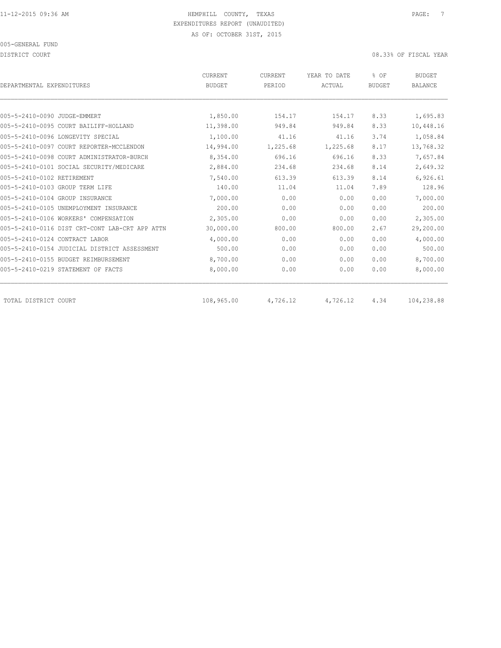DISTRICT COURT COURT COURT COURT COURT COURT COURT COURT COURT COURT COURT OF TISCAL YEAR

| DEPARTMENTAL EXPENDITURES                      | <b>CURRENT</b><br><b>BUDGET</b> | CURRENT<br>PERIOD | YEAR TO DATE<br>ACTUAL | % OF<br><b>BUDGET</b> | <b>BUDGET</b><br><b>BALANCE</b> |
|------------------------------------------------|---------------------------------|-------------------|------------------------|-----------------------|---------------------------------|
|                                                |                                 |                   |                        |                       |                                 |
| 005-5-2410-0090 JUDGE-EMMERT                   | 1,850.00                        | 154.17            | 154.17                 | 8.33                  | 1,695.83                        |
| 005-5-2410-0095 COURT BAILIFF-HOLLAND          | 11,398.00                       | 949.84            | 949.84                 | 8.33                  | 10,448.16                       |
| 005-5-2410-0096 LONGEVITY SPECIAL              | 1,100.00                        | 41.16             | 41.16                  | 3.74                  | 1,058.84                        |
| 005-5-2410-0097 COURT REPORTER-MCCLENDON       | 14,994.00                       | 1,225.68          | 1,225.68               | 8.17                  | 13,768.32                       |
| 005-5-2410-0098 COURT ADMINISTRATOR-BURCH      | 8,354.00                        | 696.16            | 696.16                 | 8.33                  | 7,657.84                        |
| 005-5-2410-0101 SOCIAL SECURITY/MEDICARE       | 2,884.00                        | 234.68            | 234.68                 | 8.14                  | 2,649.32                        |
| 005-5-2410-0102 RETIREMENT                     | 7,540.00                        | 613.39            | 613.39                 | 8.14                  | 6,926.61                        |
| 005-5-2410-0103 GROUP TERM LIFE                | 140.00                          | 11.04             | 11.04                  | 7.89                  | 128.96                          |
| 005-5-2410-0104 GROUP INSURANCE                | 7,000.00                        | 0.00              | 0.00                   | 0.00                  | 7,000.00                        |
| 005-5-2410-0105 UNEMPLOYMENT INSURANCE         | 200.00                          | 0.00              | 0.00                   | 0.00                  | 200.00                          |
| 005-5-2410-0106 WORKERS' COMPENSATION          | 2,305.00                        | 0.00              | 0.00                   | 0.00                  | 2,305.00                        |
| 005-5-2410-0116 DIST CRT-CONT LAB-CRT APP ATTN | 30,000.00                       | 800.00            | 800.00                 | 2.67                  | 29,200.00                       |
| 005-5-2410-0124 CONTRACT LABOR                 | 4,000.00                        | 0.00              | 0.00                   | 0.00                  | 4,000.00                        |
| 005-5-2410-0154 JUDICIAL DISTRICT ASSESSMENT   | 500.00                          | 0.00              | 0.00                   | 0.00                  | 500.00                          |
| 005-5-2410-0155 BUDGET REIMBURSEMENT           | 8,700.00                        | 0.00              | 0.00                   | 0.00                  | 8,700.00                        |
| 005-5-2410-0219 STATEMENT OF FACTS             | 8,000.00                        | 0.00              | 0.00                   | 0.00                  | 8,000.00                        |
| TOTAL DISTRICT COURT                           | 108,965.00                      | 4,726.12          | 4,726.12               | 4.34                  | 104,238.88                      |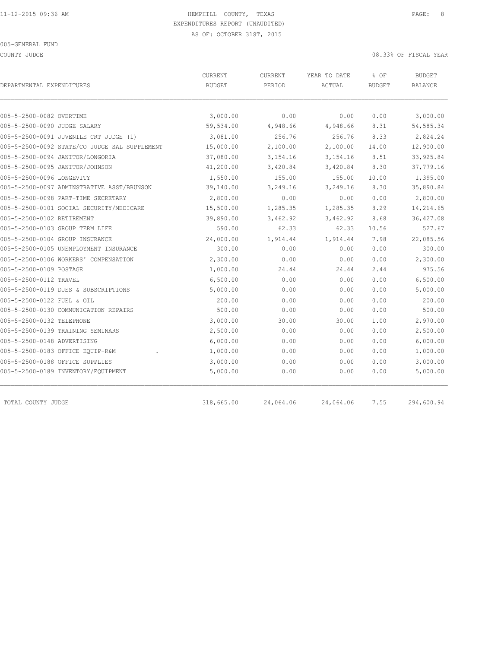COUNTY JUDGE 08.33% OF FISCAL YEAR

| DEPARTMENTAL EXPENDITURES                     | CURRENT<br><b>BUDGET</b> | CURRENT<br>PERIOD | YEAR TO DATE<br>ACTUAL | % OF<br><b>BUDGET</b> | <b>BUDGET</b><br>BALANCE |
|-----------------------------------------------|--------------------------|-------------------|------------------------|-----------------------|--------------------------|
|                                               |                          |                   |                        |                       |                          |
| 005-5-2500-0082 OVERTIME                      | 3,000.00                 | 0.00              | 0.00                   | 0.00                  | 3,000.00                 |
| 005-5-2500-0090 JUDGE SALARY                  | 59,534.00                | 4,948.66          | 4,948.66               | 8.31                  | 54, 585.34               |
| 005-5-2500-0091 JUVENILE CRT JUDGE (1)        | 3,081.00                 | 256.76            | 256.76                 | 8.33                  | 2,824.24                 |
| 005-5-2500-0092 STATE/CO JUDGE SAL SUPPLEMENT | 15,000.00                | 2,100.00          | 2,100.00               | 14.00                 | 12,900.00                |
| 005-5-2500-0094 JANITOR/LONGORIA              | 37,080.00                | 3,154.16          | 3,154.16               | 8.51                  | 33, 925.84               |
| 005-5-2500-0095 JANITOR/JOHNSON               | 41,200.00                | 3,420.84          | 3,420.84               | 8.30                  | 37,779.16                |
| 005-5-2500-0096 LONGEVITY                     | 1,550.00                 | 155.00            | 155.00                 | 10.00                 | 1,395.00                 |
| 005-5-2500-0097 ADMINSTRATIVE ASST/BRUNSON    | 39,140.00                | 3,249.16          | 3,249.16               | 8.30                  | 35,890.84                |
| 005-5-2500-0098 PART-TIME SECRETARY           | 2,800.00                 | 0.00              | 0.00                   | 0.00                  | 2,800.00                 |
| 005-5-2500-0101 SOCIAL SECURITY/MEDICARE      | 15,500.00                | 1,285.35          | 1,285.35               | 8.29                  | 14,214.65                |
| 005-5-2500-0102 RETIREMENT                    | 39,890.00                | 3,462.92          | 3,462.92               | 8.68                  | 36, 427.08               |
| 005-5-2500-0103 GROUP TERM LIFE               | 590.00                   | 62.33             | 62.33                  | 10.56                 | 527.67                   |
| 005-5-2500-0104 GROUP INSURANCE               | 24,000.00                | 1,914.44          | 1,914.44               | 7.98                  | 22,085.56                |
| 005-5-2500-0105 UNEMPLOYMENT INSURANCE        | 300.00                   | 0.00              | 0.00                   | 0.00                  | 300.00                   |
| 005-5-2500-0106 WORKERS' COMPENSATION         | 2,300.00                 | 0.00              | 0.00                   | 0.00                  | 2,300.00                 |
| 005-5-2500-0109 POSTAGE                       | 1,000.00                 | 24.44             | 24.44                  | 2.44                  | 975.56                   |
| 005-5-2500-0112 TRAVEL                        | 6,500.00                 | 0.00              | 0.00                   | 0.00                  | 6,500.00                 |
| 005-5-2500-0119 DUES & SUBSCRIPTIONS          | 5,000.00                 | 0.00              | 0.00                   | 0.00                  | 5,000.00                 |
| 005-5-2500-0122 FUEL & OIL                    | 200.00                   | 0.00              | 0.00                   | 0.00                  | 200.00                   |
| 005-5-2500-0130 COMMUNICATION REPAIRS         | 500.00                   | 0.00              | 0.00                   | 0.00                  | 500.00                   |
| 005-5-2500-0132 TELEPHONE                     | 3,000.00                 | 30.00             | 30.00                  | 1.00                  | 2,970.00                 |
| 005-5-2500-0139 TRAINING SEMINARS             | 2,500.00                 | 0.00              | 0.00                   | 0.00                  | 2,500.00                 |
| 005-5-2500-0148 ADVERTISING                   | 6,000.00                 | 0.00              | 0.00                   | 0.00                  | 6,000.00                 |
| 005-5-2500-0183 OFFICE EQUIP-R&M              | 1,000.00                 | 0.00              | 0.00                   | 0.00                  | 1,000.00                 |
| 005-5-2500-0188 OFFICE SUPPLIES               | 3,000.00                 | 0.00              | 0.00                   | 0.00                  | 3,000.00                 |
| 005-5-2500-0189 INVENTORY/EQUIPMENT           | 5,000.00                 | 0.00              | 0.00                   | 0.00                  | 5,000.00                 |
| TOTAL COUNTY JUDGE                            | 318,665.00               | 24,064.06         | 24,064.06              | 7.55                  | 294,600.94               |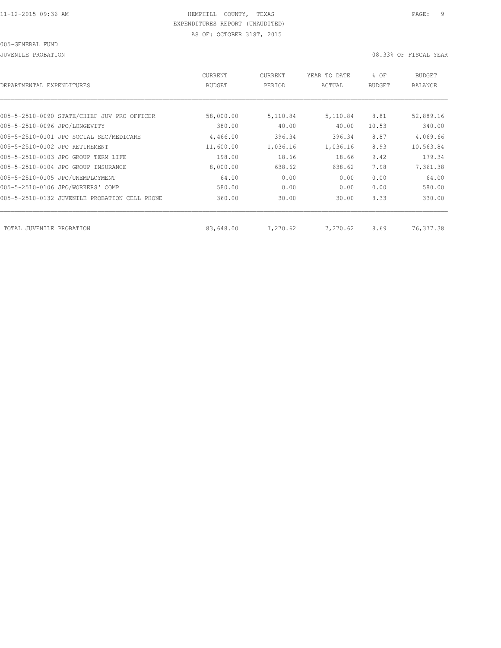JUVENILE PROBATION 08.33% OF FISCAL YEAR

| DEPARTMENTAL EXPENDITURES                     | CURRENT<br><b>BUDGET</b> | CURRENT<br>PERIOD | YEAR TO DATE<br>ACTUAL | % OF<br><b>BUDGET</b> | <b>BUDGET</b><br><b>BALANCE</b> |
|-----------------------------------------------|--------------------------|-------------------|------------------------|-----------------------|---------------------------------|
|                                               |                          |                   |                        |                       |                                 |
| 005-5-2510-0090 STATE/CHIEF JUV PRO OFFICER   | 58,000.00                | 5,110.84          | 5,110.84               | 8.81                  | 52,889.16                       |
| 005-5-2510-0096 JPO/LONGEVITY                 | 380.00                   | 40.00             | 40.00                  | 10.53                 | 340.00                          |
| 005-5-2510-0101 JPO SOCIAL SEC/MEDICARE       | 4,466.00                 | 396.34            | 396.34                 | 8.87                  | 4,069.66                        |
| 005-5-2510-0102 JPO RETIREMENT                | 11,600.00                | 1,036.16          | 1,036.16               | 8.93                  | 10,563.84                       |
| 005-5-2510-0103 JPO GROUP TERM LIFE           | 198.00                   | 18.66             | 18.66                  | 9.42                  | 179.34                          |
| 005-5-2510-0104 JPO GROUP INSURANCE           | 8,000.00                 | 638.62            | 638.62                 | 7.98                  | 7,361.38                        |
| 005-5-2510-0105 JPO/UNEMPLOYMENT              | 64.00                    | 0.00              | 0.00                   | 0.00                  | 64.00                           |
| 005-5-2510-0106 JPO/WORKERS' COMP             | 580.00                   | 0.00              | 0.00                   | 0.00                  | 580.00                          |
| 005-5-2510-0132 JUVENILE PROBATION CELL PHONE | 360.00                   | 30.00             | 30.00                  | 8.33                  | 330.00                          |
|                                               |                          |                   |                        |                       |                                 |
| TOTAL JUVENILE<br>PROBATION                   | 83,648.00                | 7,270.62          | 7,270.62               | 8.69                  | 76, 377.38                      |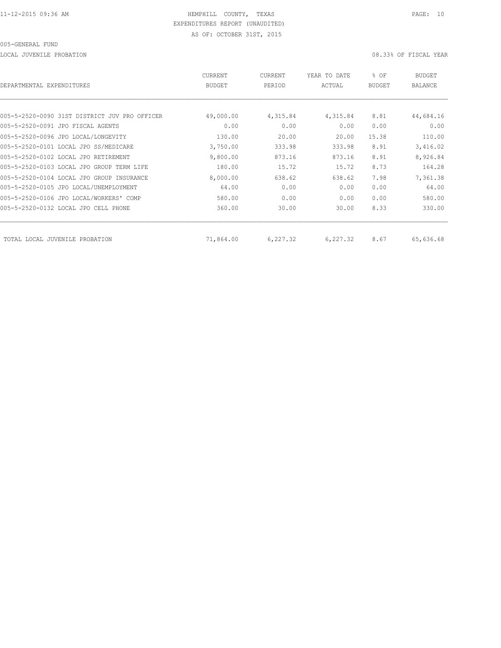LOCAL JUVENILE PROBATION 08.33% OF FISCAL YEAR

| DEPARTMENTAL EXPENDITURES                     | CURRENT<br><b>BUDGET</b> | CURRENT<br>PERIOD | YEAR TO DATE<br>ACTUAL | % OF<br><b>BUDGET</b> | BUDGET<br><b>BALANCE</b> |
|-----------------------------------------------|--------------------------|-------------------|------------------------|-----------------------|--------------------------|
|                                               |                          |                   |                        |                       |                          |
| 005-5-2520-0090 31ST DISTRICT JUV PRO OFFICER | 49,000.00                | 4,315.84          | 4,315.84               | 8.81                  | 44,684.16                |
| 005-5-2520-0091 JPO FISCAL AGENTS             | 0.00                     | 0.00              | 0.00                   | 0.00                  | 0.00                     |
| 005-5-2520-0096 JPO LOCAL/LONGEVITY           | 130.00                   | 20.00             | 20.00                  | 15.38                 | 110.00                   |
| 005-5-2520-0101 LOCAL JPO SS/MEDICARE         | 3,750.00                 | 333.98            | 333.98                 | 8.91                  | 3,416.02                 |
| 005-5-2520-0102 LOCAL JPO RETIREMENT          | 9,800.00                 | 873.16            | 873.16                 | 8.91                  | 8,926.84                 |
| 005-5-2520-0103 LOCAL JPO GROUP TERM LIFE     | 180.00                   | 15.72             | 15.72                  | 8.73                  | 164.28                   |
| 005-5-2520-0104 LOCAL JPO GROUP INSURANCE     | 8,000.00                 | 638.62            | 638.62                 | 7.98                  | 7,361.38                 |
| 005-5-2520-0105 JPO LOCAL/UNEMPLOYMENT        | 64.00                    | 0.00              | 0.00                   | 0.00                  | 64.00                    |
| 005-5-2520-0106 JPO LOCAL/WORKERS' COMP       | 580.00                   | 0.00              | 0.00                   | 0.00                  | 580.00                   |
| 005-5-2520-0132 LOCAL JPO CELL PHONE          | 360.00                   | 30.00             | 30.00                  | 8.33                  | 330.00                   |
| TOTAL LOCAL JUVENILE PROBATION                | 71,864.00                | 6,227.32          | 6,227.32               | 8.67                  | 65,636.68                |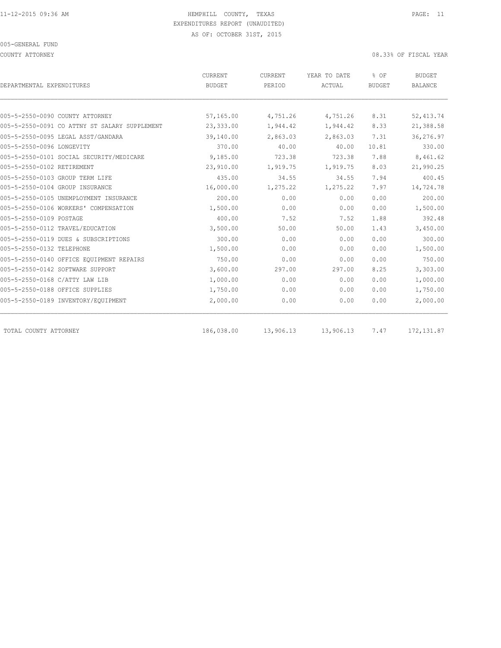COUNTY ATTORNEY 08.33% OF FISCAL YEAR

| DEPARTMENTAL EXPENDITURES                     | CURRENT<br><b>BUDGET</b> | <b>CURRENT</b><br>PERIOD | YEAR TO DATE<br>ACTUAL | % OF<br><b>BUDGET</b> | <b>BUDGET</b><br><b>BALANCE</b> |
|-----------------------------------------------|--------------------------|--------------------------|------------------------|-----------------------|---------------------------------|
|                                               |                          |                          |                        |                       |                                 |
| 005-5-2550-0090 COUNTY ATTORNEY               | 57,165.00                | 4,751.26                 | 4,751.26               | 8.31                  | 52, 413.74                      |
| 005-5-2550-0091 CO ATTNY ST SALARY SUPPLEMENT | 23,333.00                | 1,944.42                 | 1,944.42               | 8.33                  | 21,388.58                       |
| 005-5-2550-0095 LEGAL ASST/GANDARA            | 39,140.00                | 2,863.03                 | 2,863.03               | 7.31                  | 36,276.97                       |
| 005-5-2550-0096 LONGEVITY                     | 370.00                   | 40.00                    | 40.00                  | 10.81                 | 330.00                          |
| 005-5-2550-0101 SOCIAL SECURITY/MEDICARE      | 9,185.00                 | 723.38                   | 723.38                 | 7.88                  | 8,461.62                        |
| 005-5-2550-0102 RETIREMENT                    | 23,910.00                | 1,919.75                 | 1,919.75               | 8.03                  | 21,990.25                       |
| 005-5-2550-0103 GROUP TERM LIFE               | 435.00                   | 34.55                    | 34.55                  | 7.94                  | 400.45                          |
| 005-5-2550-0104 GROUP INSURANCE               | 16,000.00                | 1,275.22                 | 1,275.22               | 7.97                  | 14,724.78                       |
| 005-5-2550-0105 UNEMPLOYMENT INSURANCE        | 200.00                   | 0.00                     | 0.00                   | 0.00                  | 200.00                          |
| 005-5-2550-0106 WORKERS' COMPENSATION         | 1,500.00                 | 0.00                     | 0.00                   | 0.00                  | 1,500.00                        |
| 005-5-2550-0109 POSTAGE                       | 400.00                   | 7.52                     | 7.52                   | 1.88                  | 392.48                          |
| 005-5-2550-0112 TRAVEL/EDUCATION              | 3,500.00                 | 50.00                    | 50.00                  | 1.43                  | 3,450.00                        |
| 005-5-2550-0119 DUES & SUBSCRIPTIONS          | 300.00                   | 0.00                     | 0.00                   | 0.00                  | 300.00                          |
| 005-5-2550-0132 TELEPHONE                     | 1,500.00                 | 0.00                     | 0.00                   | 0.00                  | 1,500.00                        |
| 005-5-2550-0140 OFFICE EOUIPMENT REPAIRS      | 750.00                   | 0.00                     | 0.00                   | 0.00                  | 750.00                          |
| 005-5-2550-0142 SOFTWARE SUPPORT              | 3,600.00                 | 297.00                   | 297.00                 | 8.25                  | 3,303.00                        |
| 005-5-2550-0168 C/ATTY LAW LIB                | 1,000.00                 | 0.00                     | 0.00                   | 0.00                  | 1,000.00                        |
| 005-5-2550-0188 OFFICE SUPPLIES               | 1,750.00                 | 0.00                     | 0.00                   | 0.00                  | 1,750.00                        |
| 005-5-2550-0189 INVENTORY/EQUIPMENT           | 2,000.00                 | 0.00                     | 0.00                   | 0.00                  | 2,000.00                        |
| TOTAL COUNTY ATTORNEY                         | 186,038.00               | 13,906.13                | 13,906.13              | 7.47                  | 172, 131.87                     |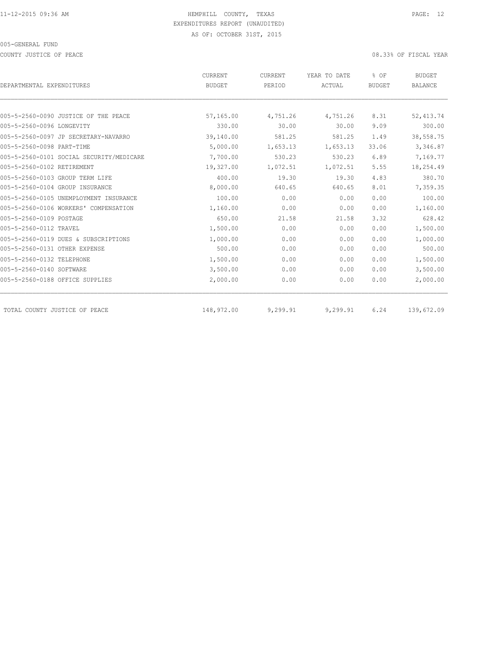COUNTY JUSTICE OF PEACE 08.33% OF FISCAL YEAR

| DEPARTMENTAL EXPENDITURES                | CURRENT<br><b>BUDGET</b> | CURRENT<br>PERIOD | YEAR TO DATE<br>ACTUAL | % OF<br><b>BUDGET</b> | <b>BUDGET</b><br><b>BALANCE</b> |
|------------------------------------------|--------------------------|-------------------|------------------------|-----------------------|---------------------------------|
|                                          |                          |                   |                        |                       |                                 |
| 005-5-2560-0090 JUSTICE OF THE PEACE     | 57,165.00                | 4,751.26          | 4,751.26               | 8.31                  | 52, 413.74                      |
| 005-5-2560-0096 LONGEVITY                | 330.00                   | 30.00             | 30.00                  | 9.09                  | 300.00                          |
| 005-5-2560-0097 JP SECRETARY-NAVARRO     | 39,140.00                | 581.25            | 581.25                 | 1.49                  | 38,558.75                       |
| 005-5-2560-0098 PART-TIME                | 5,000.00                 | 1,653.13          | 1,653.13               | 33.06                 | 3,346.87                        |
| 005-5-2560-0101 SOCIAL SECURITY/MEDICARE | 7,700.00                 | 530.23            | 530.23                 | 6.89                  | 7,169.77                        |
| 005-5-2560-0102 RETIREMENT               | 19,327.00                | 1,072.51          | 1,072.51               | 5.55                  | 18,254.49                       |
| 005-5-2560-0103 GROUP TERM LIFE          | 400.00                   | 19.30             | 19.30                  | 4.83                  | 380.70                          |
| 005-5-2560-0104 GROUP INSURANCE          | 8,000.00                 | 640.65            | 640.65                 | 8.01                  | 7,359.35                        |
| 005-5-2560-0105 UNEMPLOYMENT INSURANCE   | 100.00                   | 0.00              | 0.00                   | 0.00                  | 100.00                          |
| 005-5-2560-0106 WORKERS' COMPENSATION    | 1,160.00                 | 0.00              | 0.00                   | 0.00                  | 1,160.00                        |
| 005-5-2560-0109 POSTAGE                  | 650.00                   | 21.58             | 21.58                  | 3.32                  | 628.42                          |
| 005-5-2560-0112 TRAVEL                   | 1,500.00                 | 0.00              | 0.00                   | 0.00                  | 1,500.00                        |
| 005-5-2560-0119 DUES & SUBSCRIPTIONS     | 1,000.00                 | 0.00              | 0.00                   | 0.00                  | 1,000.00                        |
| 005-5-2560-0131 OTHER EXPENSE            | 500.00                   | 0.00              | 0.00                   | 0.00                  | 500.00                          |
| 005-5-2560-0132 TELEPHONE                | 1,500.00                 | 0.00              | 0.00                   | 0.00                  | 1,500.00                        |
| 005-5-2560-0140 SOFTWARE                 | 3,500.00                 | 0.00              | 0.00                   | 0.00                  | 3,500.00                        |
| 005-5-2560-0188 OFFICE SUPPLIES          | 2,000.00                 | 0.00              | 0.00                   | 0.00                  | 2,000.00                        |
| TOTAL COUNTY JUSTICE OF PEACE            | 148,972.00               | 9,299.91          | 9,299.91               | 6.24                  | 139,672.09                      |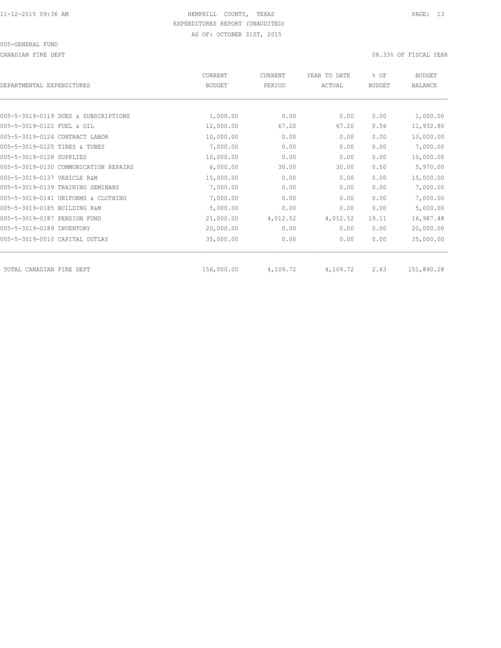CANADIAN FIRE DEPT 08.33% OF FISCAL YEAR

| DEPARTMENTAL EXPENDITURES             | <b>CURRENT</b><br><b>BUDGET</b> | CURRENT<br>PERIOD | YEAR TO DATE<br>ACTUAL | % OF<br><b>BUDGET</b> | <b>BUDGET</b><br>BALANCE |
|---------------------------------------|---------------------------------|-------------------|------------------------|-----------------------|--------------------------|
|                                       |                                 |                   |                        |                       |                          |
| 005-5-3019-0119 DUES & SUBSCRIPTIONS  | 1,000.00                        | 0.00              | 0.00                   | 0.00                  | 1,000.00                 |
| 005-5-3019-0122 FUEL & OIL            | 12,000.00                       | 67.20             | 67.20                  | 0.56                  | 11,932.80                |
| 005-5-3019-0124 CONTRACT LABOR        | 10,000.00                       | 0.00              | 0.00                   | 0.00                  | 10,000.00                |
| 005-5-3019-0125 TIRES & TUBES         | 7,000.00                        | 0.00              | 0.00                   | 0.00                  | 7,000.00                 |
| 005-5-3019-0128 SUPPLIES              | 10,000.00                       | 0.00              | 0.00                   | 0.00                  | 10,000.00                |
| 005-5-3019-0130 COMMUNICATION REPAIRS | 6,000.00                        | 30.00             | 30.00                  | 0.50                  | 5,970.00                 |
| 005-5-3019-0137 VEHICLE R&M           | 15,000.00                       | 0.00              | 0.00                   | 0.00                  | 15,000.00                |
| 005-5-3019-0139 TRAINING SEMINARS     | 7,000.00                        | 0.00              | 0.00                   | 0.00                  | 7,000.00                 |
| 005-5-3019-0141 UNIFORMS & CLOTHING   | 7,000.00                        | 0.00              | 0.00                   | 0.00                  | 7,000.00                 |
| 005-5-3019-0185 BUILDING R&M          | 5,000.00                        | 0.00              | 0.00                   | 0.00                  | 5,000.00                 |
| 005-5-3019-0187 PENSION FUND          | 21,000.00                       | 4,012.52          | 4,012.52               | 19.11                 | 16,987.48                |
| 005-5-3019-0189 INVENTORY             | 20,000.00                       | 0.00              | 0.00                   | 0.00                  | 20,000.00                |
| 005-5-3019-0510 CAPITAL OUTLAY        | 35,000.00                       | 0.00              | 0.00                   | 0.00                  | 35,000.00                |
| TOTAL CANADIAN FIRE DEPT              | 156,000.00                      | 4,109.72          | 4,109.72               | 2.63                  | 151,890.28               |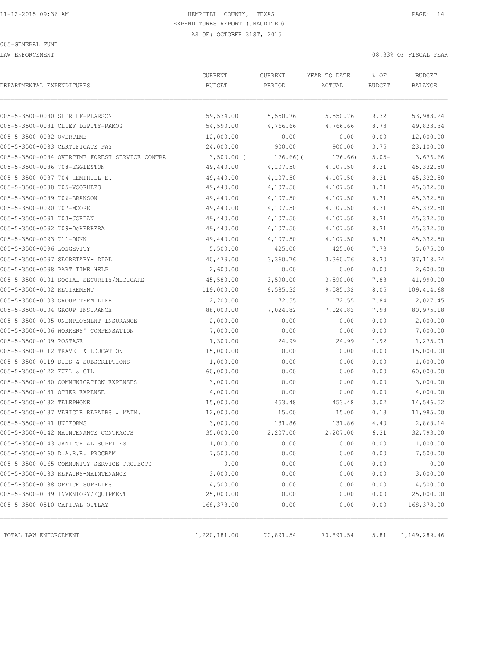LAW ENFORCEMENT 08.33% OF FISCAL YEAR

| DEPARTMENTAL EXPENDITURES                      | CURRENT<br><b>BUDGET</b> | CURRENT<br>PERIOD | YEAR TO DATE<br>ACTUAL | % OF<br><b>BUDGET</b> | <b>BUDGET</b><br>BALANCE |
|------------------------------------------------|--------------------------|-------------------|------------------------|-----------------------|--------------------------|
|                                                |                          |                   |                        |                       |                          |
| 005-5-3500-0080 SHERIFF-PEARSON                | 59,534.00                | 5,550.76          | 5,550.76               | 9.32                  | 53,983.24                |
| 005-5-3500-0081 CHIEF DEPUTY-RAMOS             | 54,590.00                | 4,766.66          | 4,766.66               | 8.73                  | 49,823.34                |
| 005-5-3500-0082 OVERTIME                       | 12,000.00                | 0.00              | 0.00                   | 0.00                  | 12,000.00                |
| 005-5-3500-0083 CERTIFICATE PAY                | 24,000.00                | 900.00            | 900.00                 | 3.75                  | 23,100.00                |
| 005-5-3500-0084 OVERTIME FOREST SERVICE CONTRA | $3,500.00$ (             | $176.66$ ) (      | 176.66)                | $5.05 -$              | 3,676.66                 |
| 005-5-3500-0086 708-EGGLESTON                  | 49,440.00                | 4,107.50          | 4,107.50               | 8.31                  | 45, 332.50               |
| 005-5-3500-0087 704-HEMPHILL E.                | 49,440.00                | 4,107.50          | 4,107.50               | 8.31                  | 45,332.50                |
| 005-5-3500-0088 705-VOORHEES                   | 49,440.00                | 4,107.50          | 4,107.50               | 8.31                  | 45, 332.50               |
| 005-5-3500-0089 706-BRANSON                    | 49,440.00                | 4,107.50          | 4,107.50               | 8.31                  | 45, 332.50               |
| 005-5-3500-0090 707-MOORE                      | 49,440.00                | 4,107.50          | 4,107.50               | 8.31                  | 45,332.50                |
| 005-5-3500-0091 703-JORDAN                     | 49,440.00                | 4,107.50          | 4,107.50               | 8.31                  | 45, 332.50               |
| 005-5-3500-0092 709-DeHERRERA                  | 49,440.00                | 4,107.50          | 4,107.50               | 8.31                  | 45,332.50                |
| 005-5-3500-0093 711-DUNN                       | 49,440.00                | 4,107.50          | 4,107.50               | 8.31                  | 45, 332.50               |
| 005-5-3500-0096 LONGEVITY                      | 5,500.00                 | 425.00            | 425.00                 | 7.73                  | 5,075.00                 |
| 005-5-3500-0097 SECRETARY- DIAL                | 40,479.00                | 3,360.76          | 3,360.76               | 8.30                  | 37, 118.24               |
| 005-5-3500-0098 PART TIME HELP                 | 2,600.00                 | 0.00              | 0.00                   | 0.00                  | 2,600.00                 |
| 005-5-3500-0101 SOCIAL SECURITY/MEDICARE       | 45,580.00                | 3,590.00          | 3,590.00               | 7.88                  | 41,990.00                |
| 005-5-3500-0102 RETIREMENT                     | 119,000.00               | 9,585.32          | 9,585.32               | 8.05                  | 109,414.68               |
| 005-5-3500-0103 GROUP TERM LIFE                | 2,200.00                 | 172.55            | 172.55                 | 7.84                  | 2,027.45                 |
| 005-5-3500-0104 GROUP INSURANCE                | 88,000.00                | 7,024.82          | 7,024.82               | 7.98                  | 80,975.18                |
| 005-5-3500-0105 UNEMPLOYMENT INSURANCE         | 2,000.00                 | 0.00              | 0.00                   | 0.00                  | 2,000.00                 |
| 005-5-3500-0106 WORKERS' COMPENSATION          | 7,000.00                 | 0.00              | 0.00                   | 0.00                  | 7,000.00                 |
| 005-5-3500-0109 POSTAGE                        | 1,300.00                 | 24.99             | 24.99                  | 1.92                  | 1,275.01                 |
| 005-5-3500-0112 TRAVEL & EDUCATION             | 15,000.00                | 0.00              | 0.00                   | 0.00                  | 15,000.00                |
| 005-5-3500-0119 DUES & SUBSCRIPTIONS           | 1,000.00                 | 0.00              | 0.00                   | 0.00                  | 1,000.00                 |
| 005-5-3500-0122 FUEL & OIL                     | 60,000.00                | 0.00              | 0.00                   | 0.00                  | 60,000.00                |
| 005-5-3500-0130 COMMUNICATION EXPENSES         | 3,000.00                 | 0.00              | 0.00                   | 0.00                  | 3,000.00                 |
| 005-5-3500-0131 OTHER EXPENSE                  | 4,000.00                 | 0.00              | 0.00                   | 0.00                  | 4,000.00                 |
| 005-5-3500-0132 TELEPHONE                      | 15,000.00                | 453.48            | 453.48                 | 3.02                  | 14,546.52                |
| 005-5-3500-0137 VEHICLE REPAIRS & MAIN.        | 12,000.00                | 15.00             | 15.00                  | 0.13                  | 11,985.00                |
| 005-5-3500-0141 UNIFORMS                       | 3,000.00                 | 131.86            | 131.86                 | 4.40                  | 2,868.14                 |
| 005-5-3500-0142 MAINTENANCE CONTRACTS          | 35,000.00                | 2,207.00          | 2,207.00               | 6.31                  | 32,793.00                |
| 005-5-3500-0143 JANITORIAL SUPPLIES            | 1,000.00                 | 0.00              | 0.00                   | 0.00                  | 1,000.00                 |
| 005-5-3500-0160 D.A.R.E. PROGRAM               | 7,500.00                 | 0.00              | 0.00                   | 0.00                  | 7,500.00                 |
| 005-5-3500-0165 COMMUNITY SERVICE PROJECTS     | 0.00                     | 0.00              | 0.00                   | 0.00                  | 0.00                     |
| 005-5-3500-0183 REPAIRS-MAINTENANCE            | 3,000.00                 | 0.00              | 0.00                   | 0.00                  | 3,000.00                 |
| 005-5-3500-0188 OFFICE SUPPLIES                | 4,500.00                 | 0.00              | 0.00                   | 0.00                  | 4,500.00                 |
| 005-5-3500-0189 INVENTORY/EQUIPMENT            | 25,000.00                | 0.00              | 0.00                   | 0.00                  | 25,000.00                |
| 005-5-3500-0510 CAPITAL OUTLAY                 | 168,378.00               | 0.00              | 0.00                   | 0.00                  | 168,378.00               |
|                                                |                          |                   |                        |                       |                          |
| TOTAL LAW ENFORCEMENT                          | 1,220,181.00             | 70,891.54         | 70,891.54              | 5.81                  | 1, 149, 289.46           |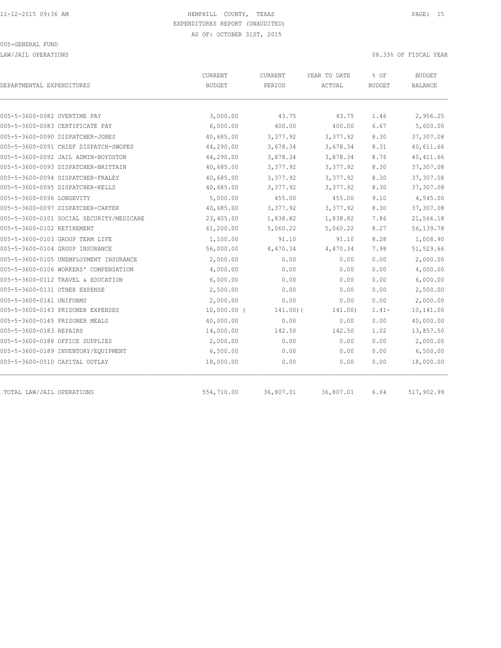LAW/JAIL OPERATIONS 08.33% OF FISCAL YEAR

| DEPARTMENTAL EXPENDITURES                | CURRENT<br><b>BUDGET</b> | <b>CURRENT</b><br>PERIOD | YEAR TO DATE<br>ACTUAL | % OF<br><b>BUDGET</b> | <b>BUDGET</b><br><b>BALANCE</b> |
|------------------------------------------|--------------------------|--------------------------|------------------------|-----------------------|---------------------------------|
|                                          |                          |                          |                        |                       |                                 |
| 005-5-3600-0082 OVERTIME PAY             | 3,000.00                 | 43.75                    | 43.75                  | 1.46                  | 2,956.25                        |
| 005-5-3600-0083 CERTIFICATE PAY          | 6,000.00                 | 400.00                   | 400.00                 | 6.67                  | 5,600.00                        |
| 005-5-3600-0090 DISPATCHER-JONES         | 40,685.00                | 3,377.92                 | 3,377.92               | 8.30                  | 37,307.08                       |
| 005-5-3600-0091 CHIEF DISPATCH-SWOPES    | 44,290.00                | 3,678.34                 | 3,678.34               | 8.31                  | 40,611.66                       |
| 005-5-3600-0092 JAIL ADMIN-BOYDSTON      | 44,290.00                | 3,878.34                 | 3,878.34               | 8.76                  | 40, 411.66                      |
| 005-5-3600-0093 DISPATCHER-BRITTAIN      | 40,685.00                | 3,377.92                 | 3,377.92               | 8.30                  | 37,307.08                       |
| 005-5-3600-0094 DISPATCHER-FRALEY        | 40,685.00                | 3,377.92                 | 3,377.92               | 8.30                  | 37,307.08                       |
| 005-5-3600-0095 DISPATCHER-KELLS         | 40,685.00                | 3,377.92                 | 3,377.92               | 8.30                  | 37,307.08                       |
| 005-5-3600-0096 LONGEVITY                | 5,000.00                 | 455.00                   | 455.00                 | 9.10                  | 4,545.00                        |
| 005-5-3600-0097 DISPATCHER-CARTER        | 40,685.00                | 3,377.92                 | 3,377.92               | 8.30                  | 37,307.08                       |
| 005-5-3600-0101 SOCIAL SECURITY/MEDICARE | 23,405.00                | 1,838.82                 | 1,838.82               | 7.86                  | 21,566.18                       |
| 005-5-3600-0102 RETIREMENT               | 61,200.00                | 5,060.22                 | 5,060.22               | 8.27                  | 56,139.78                       |
| 005-5-3600-0103 GROUP TERM LIFE          | 1,100.00                 | 91.10                    | 91.10                  | 8.28                  | 1,008.90                        |
| 005-5-3600-0104 GROUP INSURANCE          | 56,000.00                | 4,470.34                 | 4,470.34               | 7.98                  | 51,529.66                       |
| 005-5-3600-0105 UNEMPLOYMENT INSURANCE   | 2,000.00                 | 0.00                     | 0.00                   | 0.00                  | 2,000.00                        |
| 005-5-3600-0106 WORKERS' COMPENSATION    | 4,000.00                 | 0.00                     | 0.00                   | 0.00                  | 4,000.00                        |
| 005-5-3600-0112 TRAVEL & EDUCATION       | 6,000.00                 | 0.00                     | 0.00                   | 0.00                  | 6,000.00                        |
| 005-5-3600-0131 OTHER EXPENSE            | 2,500.00                 | 0.00                     | 0.00                   | 0.00                  | 2,500.00                        |
| 005-5-3600-0141 UNIFORMS                 | 2,000.00                 | 0.00                     | 0.00                   | 0.00                  | 2,000.00                        |
| 005-5-3600-0143 PRISONER EXPENSES        | $10,000.00$ (            | 141.00(                  | 141.00)                | $1.41-$               | 10,141.00                       |
| 005-5-3600-0145 PRISONER MEALS           | 40,000.00                | 0.00                     | 0.00                   | 0.00                  | 40,000.00                       |
| 005-5-3600-0183 REPAIRS                  | 14,000.00                | 142.50                   | 142.50                 | 1.02                  | 13,857.50                       |
| 005-5-3600-0188 OFFICE SUPPLIES          | 2,000.00                 | 0.00                     | 0.00                   | 0.00                  | 2,000.00                        |
| 005-5-3600-0189 INVENTORY/EQUIPMENT      | 6,500.00                 | 0.00                     | 0.00                   | 0.00                  | 6,500.00                        |
| 005-5-3600-0510 CAPITAL OUTLAY           | 18,000.00                | 0.00                     | 0.00                   | 0.00                  | 18,000.00                       |
| TOTAL LAW/JAIL OPERATIONS                | 554,710.00               | 36,807.01                | 36,807.01              | 6.64                  | 517,902.99                      |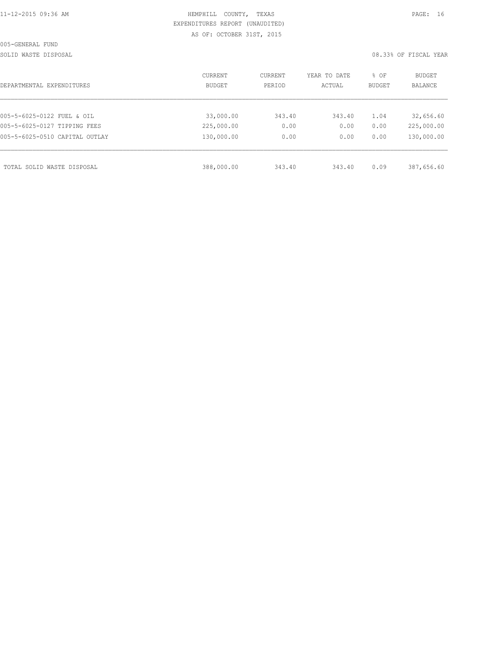| 11-12-2015 09:36 AM |
|---------------------|
|---------------------|

### HEMPHILL COUNTY, TEXAS **PAGE:** 16 EXPENDITURES REPORT (UNAUDITED) AS OF: OCTOBER 31ST, 2015

SOLID WASTE DISPOSAL **EXECUTE:** 08.33% OF FISCAL YEAR

| DEPARTMENTAL EXPENDITURES      | CURRENT<br><b>BUDGET</b> | CURRENT<br>PERIOD | YEAR TO DATE<br>ACTUAL | % OF<br><b>BUDGET</b> | BUDGET<br><b>BALANCE</b> |
|--------------------------------|--------------------------|-------------------|------------------------|-----------------------|--------------------------|
|                                |                          |                   |                        |                       |                          |
| 005-5-6025-0122 FUEL & OIL     | 33,000.00                | 343.40            | 343.40                 | 1.04                  | 32,656.60                |
| 005-5-6025-0127 TIPPING FEES   | 225,000.00               | 0.00              | 0.00                   | 0.00                  | 225,000.00               |
| 005-5-6025-0510 CAPITAL OUTLAY | 130,000.00               | 0.00              | 0.00                   | 0.00                  | 130,000.00               |
|                                |                          |                   |                        |                       |                          |
| TOTAL SOLID WASTE DISPOSAL     | 388,000.00               | 343.40            | 343.40                 | 0.09                  | 387,656.60               |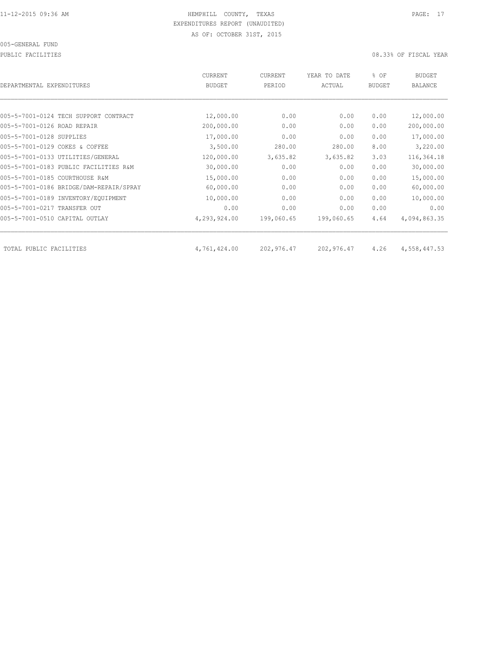PUBLIC FACILITIES 08.33% OF FISCAL YEAR

| DEPARTMENTAL EXPENDITURES               | CURRENT<br><b>BUDGET</b> | CURRENT<br>PERIOD | YEAR TO DATE<br>ACTUAL | % OF<br><b>BUDGET</b> | <b>BUDGET</b><br><b>BALANCE</b> |
|-----------------------------------------|--------------------------|-------------------|------------------------|-----------------------|---------------------------------|
|                                         |                          |                   |                        |                       |                                 |
| 005-5-7001-0124 TECH SUPPORT CONTRACT   | 12,000.00                | 0.00              | 0.00                   | 0.00                  | 12,000.00                       |
| 005-5-7001-0126 ROAD REPAIR             | 200,000.00               | 0.00              | 0.00                   | 0.00                  | 200,000.00                      |
| 005-5-7001-0128 SUPPLIES                | 17,000.00                | 0.00              | 0.00                   | 0.00                  | 17,000.00                       |
| 005-5-7001-0129 COKES & COFFEE          | 3,500.00                 | 280.00            | 280.00                 | 8.00                  | 3,220.00                        |
| 005-5-7001-0133 UTILITIES/GENERAL       | 120,000.00               | 3,635.82          | 3,635.82               | 3.03                  | 116,364.18                      |
| 005-5-7001-0183 PUBLIC FACILITIES R&M   | 30,000.00                | 0.00              | 0.00                   | 0.00                  | 30,000.00                       |
| 005-5-7001-0185 COURTHOUSE R&M          | 15,000.00                | 0.00              | 0.00                   | 0.00                  | 15,000.00                       |
| 005-5-7001-0186 BRIDGE/DAM-REPAIR/SPRAY | 60,000.00                | 0.00              | 0.00                   | 0.00                  | 60,000.00                       |
| 005-5-7001-0189 INVENTORY/EQUIPMENT     | 10,000.00                | 0.00              | 0.00                   | 0.00                  | 10,000.00                       |
| 005-5-7001-0217 TRANSFER OUT            | 0.00                     | 0.00              | 0.00                   | 0.00                  | 0.00                            |
| 005-5-7001-0510 CAPITAL OUTLAY          | 4,293,924.00             | 199,060.65        | 199,060.65             | 4.64                  | 4,094,863.35                    |
| TOTAL PUBLIC FACILITIES                 | 4,761,424.00             | 202,976.47        | 202,976.47             | 4.26                  | 4,558,447.53                    |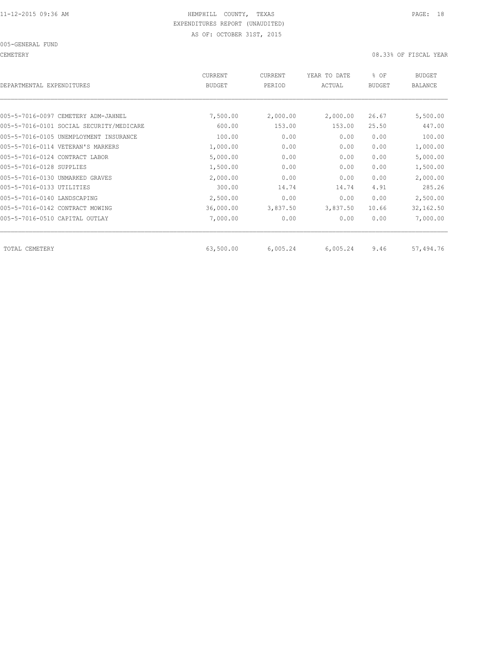CEMETERY 08.33% OF FISCAL YEAR

| DEPARTMENTAL EXPENDITURES                | CURRENT<br><b>BUDGET</b> | CURRENT<br>PERIOD | YEAR TO DATE<br>ACTUAL | % OF<br><b>BUDGET</b> | <b>BUDGET</b><br>BALANCE |
|------------------------------------------|--------------------------|-------------------|------------------------|-----------------------|--------------------------|
|                                          |                          |                   |                        |                       |                          |
| 005-5-7016-0097 CEMETERY ADM-JAHNEL      | 7,500.00                 | 2,000.00          | 2,000.00               | 26.67                 | 5,500.00                 |
| 005-5-7016-0101 SOCIAL SECURITY/MEDICARE | 600.00                   | 153.00            | 153.00                 | 25.50                 | 447.00                   |
| 005-5-7016-0105 UNEMPLOYMENT INSURANCE   | 100.00                   | 0.00              | 0.00                   | 0.00                  | 100.00                   |
| 005-5-7016-0114 VETERAN'S MARKERS        | 1,000.00                 | 0.00              | 0.00                   | 0.00                  | 1,000.00                 |
| 005-5-7016-0124 CONTRACT LABOR           | 5,000.00                 | 0.00              | 0.00                   | 0.00                  | 5,000.00                 |
| 005-5-7016-0128 SUPPLIES                 | 1,500.00                 | 0.00              | 0.00                   | 0.00                  | 1,500.00                 |
| 005-5-7016-0130 UNMARKED GRAVES          | 2,000.00                 | 0.00              | 0.00                   | 0.00                  | 2,000.00                 |
| 005-5-7016-0133 UTILITIES                | 300.00                   | 14.74             | 14.74                  | 4.91                  | 285.26                   |
| 005-5-7016-0140 LANDSCAPING              | 2,500.00                 | 0.00              | 0.00                   | 0.00                  | 2,500.00                 |
| 005-5-7016-0142 CONTRACT MOWING          | 36,000.00                | 3,837.50          | 3,837.50               | 10.66                 | 32,162.50                |
| 005-5-7016-0510 CAPITAL OUTLAY           | 7,000.00                 | 0.00              | 0.00                   | 0.00                  | 7,000.00                 |
| TOTAL CEMETERY                           | 63,500.00                | 6,005.24          | 6,005.24               | 9.46                  | 57,494.76                |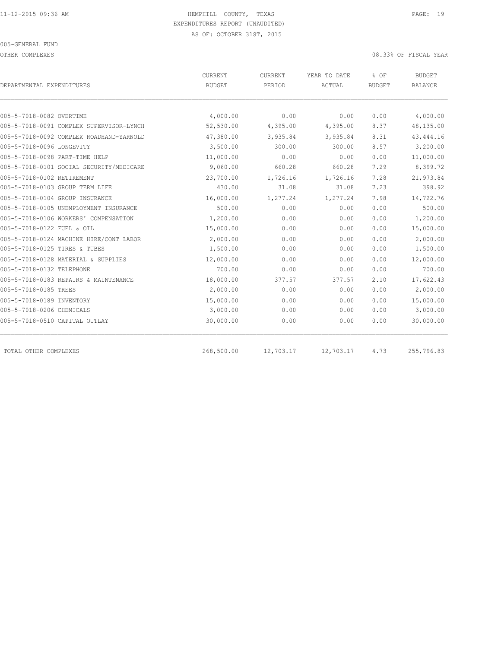OTHER COMPLEXES 08.33% OF FISCAL YEAR

| DEPARTMENTAL EXPENDITURES                | <b>CURRENT</b><br><b>BUDGET</b> | CURRENT<br>PERIOD | YEAR TO DATE<br>ACTUAL | % OF<br><b>BUDGET</b> | <b>BUDGET</b><br><b>BALANCE</b> |
|------------------------------------------|---------------------------------|-------------------|------------------------|-----------------------|---------------------------------|
|                                          |                                 |                   |                        |                       |                                 |
| 005-5-7018-0082 OVERTIME                 | 4,000.00                        | 0.00              | 0.00                   | 0.00                  | 4,000.00                        |
| 005-5-7018-0091 COMPLEX SUPERVISOR-LYNCH | 52,530.00                       | 4,395.00          | 4,395.00               | 8.37                  | 48,135.00                       |
| 005-5-7018-0092 COMPLEX ROADHAND-YARNOLD | 47,380.00                       | 3,935.84          | 3,935.84               | 8.31                  | 43, 444.16                      |
| 005-5-7018-0096 LONGEVITY                | 3,500.00                        | 300.00            | 300.00                 | 8.57                  | 3,200.00                        |
| 005-5-7018-0098 PART-TIME HELP           | 11,000.00                       | 0.00              | 0.00                   | 0.00                  | 11,000.00                       |
| 005-5-7018-0101 SOCIAL SECURITY/MEDICARE | 9,060.00                        | 660.28            | 660.28                 | 7.29                  | 8,399.72                        |
| 005-5-7018-0102 RETIREMENT               | 23,700.00                       | 1,726.16          | 1,726.16               | 7.28                  | 21,973.84                       |
| 005-5-7018-0103 GROUP TERM LIFE          | 430.00                          | 31.08             | 31.08                  | 7.23                  | 398.92                          |
| 005-5-7018-0104 GROUP INSURANCE          | 16,000.00                       | 1,277.24          | 1,277.24               | 7.98                  | 14,722.76                       |
| 005-5-7018-0105 UNEMPLOYMENT INSURANCE   | 500.00                          | 0.00              | 0.00                   | 0.00                  | 500.00                          |
| 005-5-7018-0106 WORKERS' COMPENSATION    | 1,200.00                        | 0.00              | 0.00                   | 0.00                  | 1,200.00                        |
| 005-5-7018-0122 FUEL & OIL               | 15,000.00                       | 0.00              | 0.00                   | 0.00                  | 15,000.00                       |
| 005-5-7018-0124 MACHINE HIRE/CONT LABOR  | 2,000.00                        | 0.00              | 0.00                   | 0.00                  | 2,000.00                        |
| 005-5-7018-0125 TIRES & TUBES            | 1,500.00                        | 0.00              | 0.00                   | 0.00                  | 1,500.00                        |
| 005-5-7018-0128 MATERIAL & SUPPLIES      | 12,000.00                       | 0.00              | 0.00                   | 0.00                  | 12,000.00                       |
| 005-5-7018-0132 TELEPHONE                | 700.00                          | 0.00              | 0.00                   | 0.00                  | 700.00                          |
| 005-5-7018-0183 REPAIRS & MAINTENANCE    | 18,000.00                       | 377.57            | 377.57                 | 2.10                  | 17,622.43                       |
| 005-5-7018-0185 TREES                    | 2,000.00                        | 0.00              | 0.00                   | 0.00                  | 2,000.00                        |
| 005-5-7018-0189 INVENTORY                | 15,000.00                       | 0.00              | 0.00                   | 0.00                  | 15,000.00                       |
| 005-5-7018-0206 CHEMICALS                | 3,000.00                        | 0.00              | 0.00                   | 0.00                  | 3,000.00                        |
| 005-5-7018-0510 CAPITAL OUTLAY           | 30,000.00                       | 0.00              | 0.00                   | 0.00                  | 30,000.00                       |
| TOTAL OTHER COMPLEXES                    | 268,500.00                      | 12,703.17         | 12,703.17              | 4.73                  | 255,796.83                      |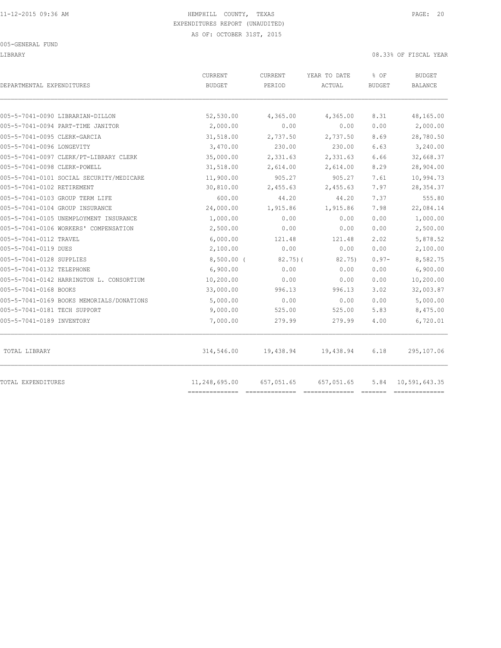LIBRARY 08.33% OF FISCAL YEAR

| DEPARTMENTAL EXPENDITURES                 | CURRENT<br><b>BUDGET</b> | <b>CURRENT</b><br>PERIOD | YEAR TO DATE<br>ACTUAL | % OF<br><b>BUDGET</b> | BUDGET<br>BALANCE |
|-------------------------------------------|--------------------------|--------------------------|------------------------|-----------------------|-------------------|
| 005-5-7041-0090 LIBRARIAN-DILLON          | 52,530.00                | 4,365.00                 | 4,365.00               | 8.31                  | 48,165.00         |
| 005-5-7041-0094 PART-TIME JANITOR         | 2,000.00                 | 0.00                     | 0.00                   | 0.00                  | 2,000.00          |
| 005-5-7041-0095 CLERK-GARCIA              | 31,518.00                | 2,737.50                 | 2,737.50               | 8.69                  | 28,780.50         |
| 005-5-7041-0096 LONGEVITY                 | 3,470.00                 | 230.00                   | 230.00                 | 6.63                  | 3,240.00          |
| 005-5-7041-0097 CLERK/PT-LIBRARY CLERK    | 35,000.00                | 2,331.63                 | 2,331.63               | 6.66                  | 32,668.37         |
| 005-5-7041-0098 CLERK-POWELL              | 31,518.00                | 2,614.00                 | 2,614.00               | 8.29                  | 28,904.00         |
| 005-5-7041-0101 SOCIAL SECURITY/MEDICARE  | 11,900.00                | 905.27                   | 905.27                 | 7.61                  | 10,994.73         |
| 005-5-7041-0102 RETIREMENT                | 30,810.00                | 2,455.63                 | 2,455.63               | 7.97                  | 28, 354.37        |
| 005-5-7041-0103 GROUP TERM LIFE           | 600.00                   | 44.20                    | 44.20                  | 7.37                  | 555.80            |
| 005-5-7041-0104 GROUP INSURANCE           | 24,000.00                | 1,915.86                 | 1,915.86               | 7.98                  | 22,084.14         |
| 005-5-7041-0105 UNEMPLOYMENT INSURANCE    | 1,000.00                 | 0.00                     | 0.00                   | 0.00                  | 1,000.00          |
| 005-5-7041-0106 WORKERS' COMPENSATION     | 2,500.00                 | 0.00                     | 0.00                   | 0.00                  | 2,500.00          |
| 005-5-7041-0112 TRAVEL                    | 6,000.00                 | 121.48                   | 121.48                 | 2.02                  | 5,878.52          |
| 005-5-7041-0119 DUES                      | 2,100.00                 | 0.00                     | 0.00                   | 0.00                  | 2,100.00          |
| 005-5-7041-0128 SUPPLIES                  | $8,500.00$ (             | $82,75$ ) (              | 82.75)                 | $0.97 -$              | 8,582.75          |
| 005-5-7041-0132 TELEPHONE                 | 6,900.00                 | 0.00                     | 0.00                   | 0.00                  | 6,900.00          |
| 005-5-7041-0142 HARRINGTON L. CONSORTIUM  | 10,200.00                | 0.00                     | 0.00                   | 0.00                  | 10,200.00         |
| 005-5-7041-0168 BOOKS                     | 33,000.00                | 996.13                   | 996.13                 | 3.02                  | 32,003.87         |
| 005-5-7041-0169 BOOKS MEMORIALS/DONATIONS | 5,000.00                 | 0.00                     | 0.00                   | 0.00                  | 5,000.00          |
| 005-5-7041-0181 TECH SUPPORT              | 9,000.00                 | 525.00                   | 525.00                 | 5.83                  | 8,475.00          |
| 005-5-7041-0189 INVENTORY                 | 7,000.00                 | 279.99                   | 279.99                 | 4.00                  | 6,720.01          |
| TOTAL LIBRARY                             | 314,546.00               | 19,438.94                | 19,438.94              | 6.18                  | 295,107.06        |
| TOTAL EXPENDITURES                        | 11,248,695.00            | 657,051.65               | 657,051.65             | 5.84                  | 10,591,643.35     |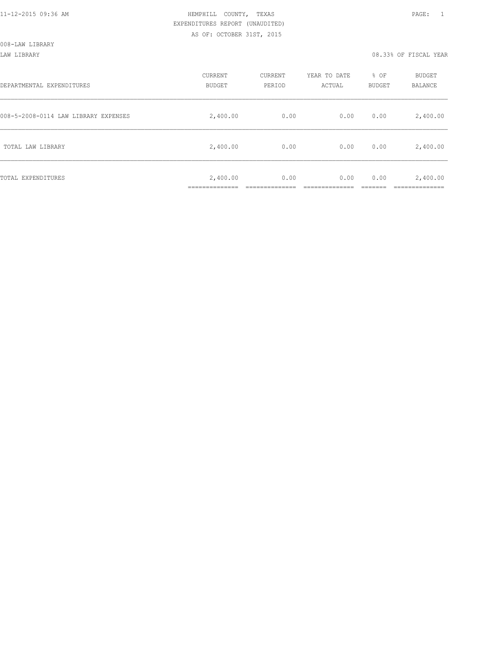008-LAW LIBRARY

LAW LIBRARY 08.33% OF FISCAL YEAR

| DEPARTMENTAL EXPENDITURES            | <b>CURRENT</b><br><b>BUDGET</b> | CURRENT<br>PERIOD | YEAR TO DATE<br>ACTUAL | % OF<br>BUDGET | BUDGET<br>BALANCE |
|--------------------------------------|---------------------------------|-------------------|------------------------|----------------|-------------------|
| 008-5-2008-0114 LAW LIBRARY EXPENSES | 2,400.00                        | 0.00              | 0.00                   | 0.00           | 2,400.00          |
| TOTAL LAW LIBRARY                    | 2,400.00                        | 0.00              | 0.00                   | 0.00           | 2,400.00          |
| TOTAL EXPENDITURES                   | 2,400.00<br>____________        | 0.00              | 0.00                   | 0.00           | 2,400.00          |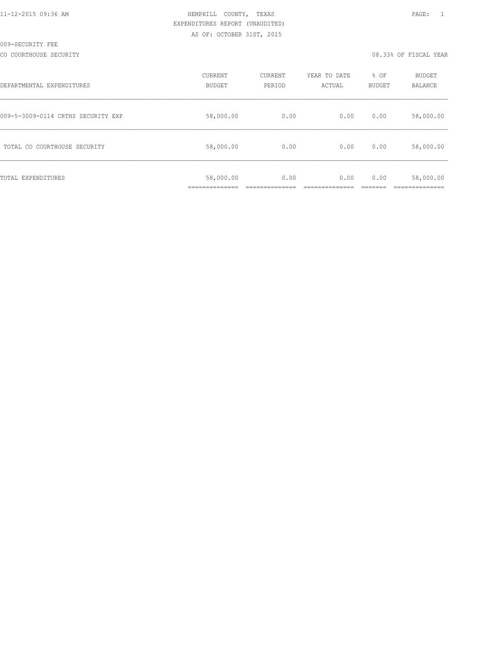CO COURTHOUSE SECURITY CONSULTED AND RELEASE OF SECOND VERRIFICAL YEAR OR SUPPOSE OF FISCAL YEAR

| DEPARTMENTAL EXPENDITURES          | CURRENT<br><b>BUDGET</b> | CURRENT<br>PERIOD | YEAR TO DATE<br>ACTUAL | % OF<br>BUDGET | BUDGET<br><b>BALANCE</b> |
|------------------------------------|--------------------------|-------------------|------------------------|----------------|--------------------------|
| 009-5-3009-0114 CRTHS SECURITY EXP | 58,000.00                | 0.00              | 0.00                   | 0.00           | 58,000.00                |
| TOTAL CO COURTHOUSE SECURITY       | 58,000.00                | 0.00              | 0.00                   | 0.00           | 58,000.00                |
| TOTAL EXPENDITURES                 | 58,000.00                | 0.00              | 0.00                   | 0.00           | 58,000.00                |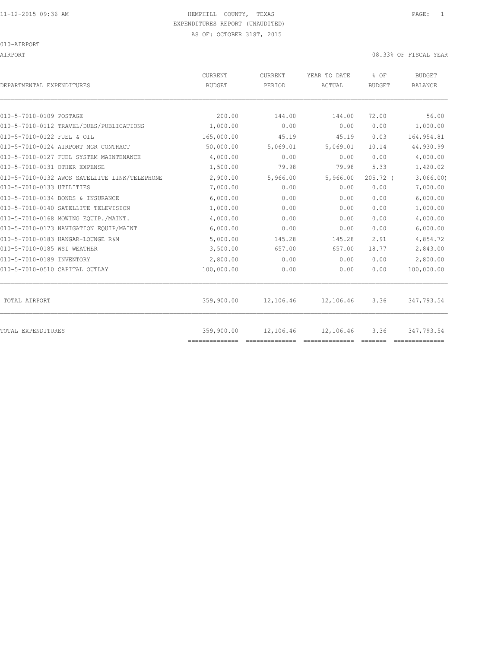## 11-12-2015 09:36 AM HEMPHILL COUNTY, TEXAS PAGE: 1 EXPENDITURES REPORT (UNAUDITED)

AS OF: OCTOBER 31ST, 2015

#### 010-AIRPORT

| DEPARTMENTAL EXPENDITURES                     | <b>CURRENT</b><br><b>BUDGET</b> | <b>CURRENT</b><br>PERIOD | YEAR TO DATE<br>ACTUAL | % OF<br><b>BUDGET</b> | <b>BUDGET</b><br><b>BALANCE</b> |
|-----------------------------------------------|---------------------------------|--------------------------|------------------------|-----------------------|---------------------------------|
|                                               |                                 |                          |                        |                       |                                 |
| 010-5-7010-0109 POSTAGE                       | 200.00                          | 144.00                   | 144.00                 | 72.00                 | 56.00                           |
| 010-5-7010-0112 TRAVEL/DUES/PUBLICATIONS      | 1,000.00                        | 0.00                     | 0.00                   | 0.00                  | 1,000.00                        |
| 010-5-7010-0122 FUEL & OIL                    | 165,000.00                      | 45.19                    | 45.19                  | 0.03                  | 164, 954.81                     |
| 010-5-7010-0124 AIRPORT MGR CONTRACT          | 50,000.00                       | 5,069.01                 | 5,069.01               | 10.14                 | 44,930.99                       |
| 010-5-7010-0127 FUEL SYSTEM MAINTENANCE       | 4,000.00                        | 0.00                     | 0.00                   | 0.00                  | 4,000.00                        |
| 010-5-7010-0131 OTHER EXPENSE                 | 1,500.00                        | 79.98                    | 79.98                  | 5.33                  | 1,420.02                        |
| 010-5-7010-0132 AWOS SATELLITE LINK/TELEPHONE | 2,900.00                        | 5,966.00                 | 5,966.00               | $205.72$ (            | 3,066.00                        |
| 010-5-7010-0133 UTILITIES                     | 7,000.00                        | 0.00                     | 0.00                   | 0.00                  | 7,000.00                        |
| 010-5-7010-0134 BONDS & INSURANCE             | 6,000.00                        | 0.00                     | 0.00                   | 0.00                  | 6,000.00                        |
| 010-5-7010-0140 SATELLITE TELEVISION          | 1,000.00                        | 0.00                     | 0.00                   | 0.00                  | 1,000.00                        |
| 010-5-7010-0168 MOWING EOUIP./MAINT.          | 4,000.00                        | 0.00                     | 0.00                   | 0.00                  | 4,000.00                        |
| 010-5-7010-0173 NAVIGATION EQUIP/MAINT        | 6,000.00                        | 0.00                     | 0.00                   | 0.00                  | 6,000.00                        |
| 010-5-7010-0183 HANGAR-LOUNGE R&M             | 5,000.00                        | 145.28                   | 145.28                 | 2.91                  | 4,854.72                        |
| 010-5-7010-0185 WSI WEATHER                   | 3,500.00                        | 657.00                   | 657.00                 | 18.77                 | 2,843.00                        |
| 010-5-7010-0189 INVENTORY                     | 2,800.00                        | 0.00                     | 0.00                   | 0.00                  | 2,800.00                        |
| 010-5-7010-0510 CAPITAL OUTLAY                | 100,000.00                      | 0.00                     | 0.00                   | 0.00                  | 100,000.00                      |
| TOTAL AIRPORT                                 | 359,900.00                      | 12,106.46                | 12,106.46              | 3.36                  | 347,793.54                      |
| <b>TOTAL EXPENDITURES</b>                     | 359,900.00<br>==============    | 12,106.46                | 12,106.46              | 3.36                  | 347,793.54                      |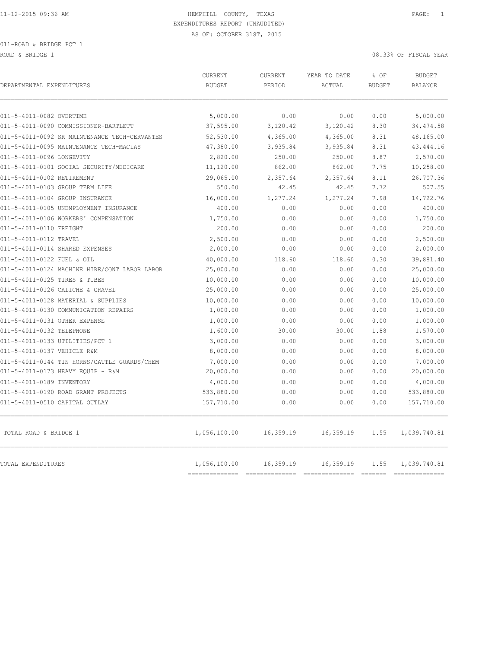ROAD & BRIDGE 1 08.33% OF FISCAL YEAR

| DEPARTMENTAL EXPENDITURES                     | CURRENT<br><b>BUDGET</b> | CURRENT<br>PERIOD | YEAR TO DATE<br>ACTUAL                 | % OF<br><b>BUDGET</b> | <b>BUDGET</b><br><b>BALANCE</b> |
|-----------------------------------------------|--------------------------|-------------------|----------------------------------------|-----------------------|---------------------------------|
| 011-5-4011-0082 OVERTIME                      | 5,000.00                 | 0.00              | 0.00                                   | 0.00                  | 5,000.00                        |
| 011-5-4011-0090 COMMISSIONER-BARTLETT         | 37,595.00                | 3,120.42          | 3,120.42                               | 8.30                  | 34, 474.58                      |
| 011-5-4011-0092 SR MAINTENANCE TECH-CERVANTES | 52,530.00                | 4,365.00          | 4,365.00                               | 8.31                  | 48,165.00                       |
| 011-5-4011-0095 MAINTENANCE TECH-MACIAS       | 47,380.00                | 3,935.84          | 3,935.84                               | 8.31                  | 43, 444.16                      |
| 011-5-4011-0096 LONGEVITY                     | 2,820.00                 | 250.00            | 250.00                                 | 8.87                  | 2,570.00                        |
| 011-5-4011-0101 SOCIAL SECURITY/MEDICARE      | 11,120.00                | 862.00            | 862.00                                 | 7.75                  | 10,258.00                       |
| 011-5-4011-0102 RETIREMENT                    | 29,065.00                | 2,357.64          | 2,357.64                               | 8.11                  | 26,707.36                       |
| 011-5-4011-0103 GROUP TERM LIFE               | 550.00                   | 42.45             | 42.45                                  | 7.72                  | 507.55                          |
| 011-5-4011-0104 GROUP INSURANCE               | 16,000.00                | 1,277.24          | 1,277.24                               | 7.98                  | 14,722.76                       |
| 011-5-4011-0105 UNEMPLOYMENT INSURANCE        | 400.00                   | 0.00              | 0.00                                   | 0.00                  | 400.00                          |
| 011-5-4011-0106 WORKERS' COMPENSATION         | 1,750.00                 | 0.00              | 0.00                                   | 0.00                  | 1,750.00                        |
| 011-5-4011-0110 FREIGHT                       | 200.00                   | 0.00              | 0.00                                   | 0.00                  | 200.00                          |
| 011-5-4011-0112 TRAVEL                        | 2,500.00                 | 0.00              | 0.00                                   | 0.00                  | 2,500.00                        |
| 011-5-4011-0114 SHARED EXPENSES               | 2,000.00                 | 0.00              | 0.00                                   | 0.00                  | 2,000.00                        |
| 011-5-4011-0122 FUEL & OIL                    | 40,000.00                | 118.60            | 118.60                                 | 0.30                  | 39,881.40                       |
| 011-5-4011-0124 MACHINE HIRE/CONT LABOR LABOR | 25,000.00                | 0.00              | 0.00                                   | 0.00                  | 25,000.00                       |
| 011-5-4011-0125 TIRES & TUBES                 | 10,000.00                | 0.00              | 0.00                                   | 0.00                  | 10,000.00                       |
| 011-5-4011-0126 CALICHE & GRAVEL              | 25,000.00                | 0.00              | 0.00                                   | 0.00                  | 25,000.00                       |
| 011-5-4011-0128 MATERIAL & SUPPLIES           | 10,000.00                | 0.00              | 0.00                                   | 0.00                  | 10,000.00                       |
| 011-5-4011-0130 COMMUNICATION REPAIRS         | 1,000.00                 | 0.00              | 0.00                                   | 0.00                  | 1,000.00                        |
| 011-5-4011-0131 OTHER EXPENSE                 | 1,000.00                 | 0.00              | 0.00                                   | 0.00                  | 1,000.00                        |
| 011-5-4011-0132 TELEPHONE                     | 1,600.00                 | 30.00             | 30.00                                  | 1.88                  | 1,570.00                        |
| 011-5-4011-0133 UTILITIES/PCT 1               | 3,000.00                 | 0.00              | 0.00                                   | 0.00                  | 3,000.00                        |
| 011-5-4011-0137 VEHICLE R&M                   | 8,000.00                 | 0.00              | 0.00                                   | 0.00                  | 8,000.00                        |
| 011-5-4011-0144 TIN HORNS/CATTLE GUARDS/CHEM  | 7,000.00                 | 0.00              | 0.00                                   | 0.00                  | 7,000.00                        |
| 011-5-4011-0173 HEAVY EQUIP - R&M             | 20,000.00                | 0.00              | 0.00                                   | 0.00                  | 20,000.00                       |
| 011-5-4011-0189 INVENTORY                     | 4,000.00                 | 0.00              | 0.00                                   | 0.00                  | 4,000.00                        |
| 011-5-4011-0190 ROAD GRANT PROJECTS           | 533,880.00               | 0.00              | 0.00                                   | 0.00                  | 533,880.00                      |
| 011-5-4011-0510 CAPITAL OUTLAY                | 157,710.00               | 0.00              | 0.00                                   | 0.00                  | 157,710.00                      |
| TOTAL ROAD & BRIDGE 1                         | 1,056,100.00             | 16,359.19         | 16,359.19                              | 1.55                  | 1,039,740.81                    |
| TOTAL EXPENDITURES                            | 1,056,100.00             | 16,359.19         | 16,359.19<br>========================= | 1.55                  | 1,039,740.81<br>=========       |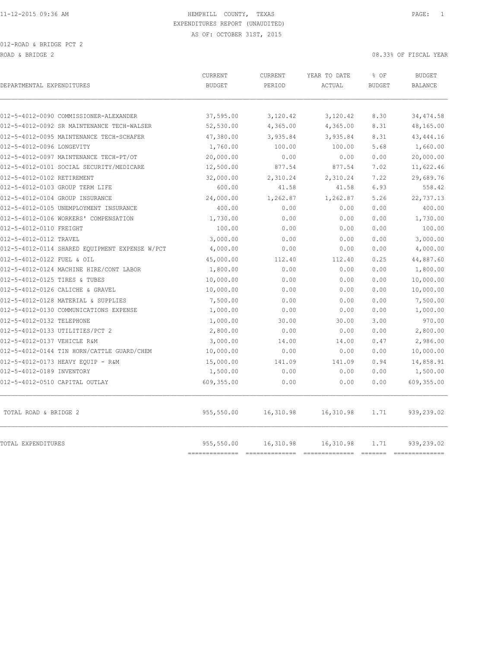| DEPARTMENTAL EXPENDITURES                      | CURRENT<br><b>BUDGET</b>  | CURRENT<br>PERIOD           | YEAR TO DATE<br>ACTUAL      | % OF<br><b>BUDGET</b> | <b>BUDGET</b><br><b>BALANCE</b> |
|------------------------------------------------|---------------------------|-----------------------------|-----------------------------|-----------------------|---------------------------------|
| 012-5-4012-0090 COMMISSIONER-ALEXANDER         | 37,595.00                 | 3,120.42                    | 3,120.42                    | 8.30                  | 34, 474.58                      |
| 012-5-4012-0092 SR MAINTENANCE TECH-WALSER     | 52,530.00                 | 4,365.00                    | 4,365.00                    | 8.31                  | 48,165.00                       |
| 012-5-4012-0095 MAINTENANCE TECH-SCHAFER       | 47,380.00                 | 3,935.84                    | 3,935.84                    | 8.31                  | 43, 444.16                      |
| 012-5-4012-0096 LONGEVITY                      | 1,760.00                  | 100.00                      | 100.00                      | 5.68                  | 1,660.00                        |
| 012-5-4012-0097 MAINTENANCE TECH-PT/OT         | 20,000.00                 | 0.00                        | 0.00                        | 0.00                  | 20,000.00                       |
| 012-5-4012-0101 SOCIAL SECURITY/MEDICARE       | 12,500.00                 | 877.54                      | 877.54                      | 7.02                  | 11,622.46                       |
| 012-5-4012-0102 RETIREMENT                     | 32,000.00                 | 2,310.24                    | 2,310.24                    | 7.22                  | 29,689.76                       |
| 012-5-4012-0103 GROUP TERM LIFE                | 600.00                    | 41.58                       | 41.58                       | 6.93                  | 558.42                          |
| 012-5-4012-0104 GROUP INSURANCE                | 24,000.00                 | 1,262.87                    | 1,262.87                    | 5.26                  | 22,737.13                       |
| 012-5-4012-0105 UNEMPLOYMENT INSURANCE         | 400.00                    | 0.00                        | 0.00                        | 0.00                  | 400.00                          |
| 012-5-4012-0106 WORKERS' COMPENSATION          | 1,730.00                  | 0.00                        | 0.00                        | 0.00                  | 1,730.00                        |
| 012-5-4012-0110 FREIGHT                        | 100.00                    | 0.00                        | 0.00                        | 0.00                  | 100.00                          |
| 012-5-4012-0112 TRAVEL                         | 3,000.00                  | 0.00                        | 0.00                        | 0.00                  | 3,000.00                        |
| 012-5-4012-0114 SHARED EOUIPMENT EXPENSE W/PCT | 4,000.00                  | 0.00                        | 0.00                        | 0.00                  | 4,000.00                        |
| 012-5-4012-0122 FUEL & OIL                     | 45,000.00                 | 112.40                      | 112.40                      | 0.25                  | 44,887.60                       |
| 012-5-4012-0124 MACHINE HIRE/CONT LABOR        | 1,800.00                  | 0.00                        | 0.00                        | 0.00                  | 1,800.00                        |
| 012-5-4012-0125 TIRES & TUBES                  | 10,000.00                 | 0.00                        | 0.00                        | 0.00                  | 10,000.00                       |
| 012-5-4012-0126 CALICHE & GRAVEL               | 10,000.00                 | 0.00                        | 0.00                        | 0.00                  | 10,000.00                       |
| 012-5-4012-0128 MATERIAL & SUPPLIES            | 7,500.00                  | 0.00                        | 0.00                        | 0.00                  | 7,500.00                        |
| 012-5-4012-0130 COMMUNICATIONS EXPENSE         | 1,000.00                  | 0.00                        | 0.00                        | 0.00                  | 1,000.00                        |
| 012-5-4012-0132 TELEPHONE                      | 1,000.00                  | 30.00                       | 30.00                       | 3.00                  | 970.00                          |
| 012-5-4012-0133 UTILITIES/PCT 2                | 2,800.00                  | 0.00                        | 0.00                        | 0.00                  | 2,800.00                        |
| 012-5-4012-0137 VEHICLE R&M                    | 3,000.00                  | 14.00                       | 14.00                       | 0.47                  | 2,986.00                        |
| 012-5-4012-0144 TIN HORN/CATTLE GUARD/CHEM     | 10,000.00                 | 0.00                        | 0.00                        | 0.00                  | 10,000.00                       |
| 012-5-4012-0173 HEAVY EOUIP - R&M              | 15,000.00                 | 141.09                      | 141.09                      | 0.94                  | 14,858.91                       |
| 012-5-4012-0189 INVENTORY                      | 1,500.00                  | 0.00                        | 0.00                        | 0.00                  | 1,500.00                        |
| 012-5-4012-0510 CAPITAL OUTLAY                 | 609,355.00                | 0.00                        | 0.00                        | 0.00                  | 609,355.00                      |
| TOTAL ROAD & BRIDGE 2                          | 955,550.00                | 16,310.98                   | 16,310.98                   | 1.71                  | 939,239.02                      |
| TOTAL EXPENDITURES                             | 955,550.00<br>=========== | 16,310.98<br>============== | 16,310.98<br>-------------- | 1.71<br>--------      | 939,239.02<br>------------      |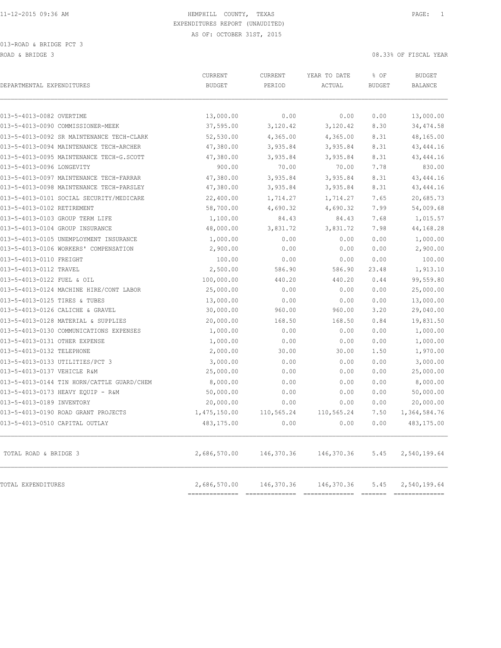| DEPARTMENTAL EXPENDITURES                  | CURRENT<br><b>BUDGET</b>    | CURRENT<br>PERIOD | YEAR TO DATE<br>ACTUAL | % OF<br><b>BUDGET</b> | <b>BUDGET</b><br><b>BALANCE</b> |
|--------------------------------------------|-----------------------------|-------------------|------------------------|-----------------------|---------------------------------|
| 013-5-4013-0082 OVERTIME                   | 13,000.00                   | 0.00              | 0.00                   | 0.00                  | 13,000.00                       |
| 013-5-4013-0090 COMMISSIONER-MEEK          | 37,595.00                   | 3,120.42          | 3,120.42               | 8.30                  | 34, 474.58                      |
| 013-5-4013-0092 SR MAINTENANCE TECH-CLARK  | 52,530.00                   | 4,365.00          | 4,365.00               | 8.31                  | 48,165.00                       |
| 013-5-4013-0094 MAINTENANCE TECH-ARCHER    | 47,380.00                   | 3,935.84          | 3,935.84               | 8.31                  | 43, 444.16                      |
| 013-5-4013-0095 MAINTENANCE TECH-G.SCOTT   | 47,380.00                   | 3,935.84          | 3,935.84               | 8.31                  | 43, 444.16                      |
| 013-5-4013-0096 LONGEVITY                  | 900.00                      | 70.00             | 70.00                  | 7.78                  | 830.00                          |
| 013-5-4013-0097 MAINTENANCE TECH-FARRAR    | 47,380.00                   | 3,935.84          | 3,935.84               | 8.31                  | 43, 444.16                      |
| 013-5-4013-0098 MAINTENANCE TECH-PARSLEY   | 47,380.00                   | 3,935.84          | 3,935.84               | 8.31                  | 43, 444.16                      |
| 013-5-4013-0101 SOCIAL SECURITY/MEDICARE   | 22,400.00                   | 1,714.27          | 1,714.27               | 7.65                  | 20,685.73                       |
| 013-5-4013-0102 RETIREMENT                 | 58,700.00                   | 4,690.32          | 4,690.32               | 7.99                  | 54,009.68                       |
| 013-5-4013-0103 GROUP TERM LIFE            | 1,100.00                    | 84.43             | 84.43                  | 7.68                  | 1,015.57                        |
| 013-5-4013-0104 GROUP INSURANCE            | 48,000.00                   | 3,831.72          | 3,831.72               | 7.98                  | 44,168.28                       |
| 013-5-4013-0105 UNEMPLOYMENT INSURANCE     | 1,000.00                    | 0.00              | 0.00                   | 0.00                  | 1,000.00                        |
| 013-5-4013-0106 WORKERS' COMPENSATION      | 2,900.00                    | 0.00              | 0.00                   | 0.00                  | 2,900.00                        |
| 013-5-4013-0110 FREIGHT                    | 100.00                      | 0.00              | 0.00                   | 0.00                  | 100.00                          |
| 013-5-4013-0112 TRAVEL                     | 2,500.00                    | 586.90            | 586.90                 | 23.48                 | 1,913.10                        |
| 013-5-4013-0122 FUEL & OIL                 | 100,000.00                  | 440.20            | 440.20                 | 0.44                  | 99,559.80                       |
| 013-5-4013-0124 MACHINE HIRE/CONT LABOR    | 25,000.00                   | 0.00              | 0.00                   | 0.00                  | 25,000.00                       |
| 013-5-4013-0125 TIRES & TUBES              | 13,000.00                   | 0.00              | 0.00                   | 0.00                  | 13,000.00                       |
| 013-5-4013-0126 CALICHE & GRAVEL           | 30,000.00                   | 960.00            | 960.00                 | 3.20                  | 29,040.00                       |
| 013-5-4013-0128 MATERIAL & SUPPLIES        | 20,000.00                   | 168.50            | 168.50                 | 0.84                  | 19,831.50                       |
| 013-5-4013-0130 COMMUNICATIONS EXPENSES    | 1,000.00                    | 0.00              | 0.00                   | 0.00                  | 1,000.00                        |
| 013-5-4013-0131 OTHER EXPENSE              | 1,000.00                    | 0.00              | 0.00                   | 0.00                  | 1,000.00                        |
| 013-5-4013-0132 TELEPHONE                  | 2,000.00                    | 30.00             | 30.00                  | 1.50                  | 1,970.00                        |
| 013-5-4013-0133 UTILITIES/PCT 3            | 3,000.00                    | 0.00              | 0.00                   | 0.00                  | 3,000.00                        |
| 013-5-4013-0137 VEHICLE R&M                | 25,000.00                   | 0.00              | 0.00                   | 0.00                  | 25,000.00                       |
| 013-5-4013-0144 TIN HORN/CATTLE GUARD/CHEM | 8,000.00                    | 0.00              | 0.00                   | 0.00                  | 8,000.00                        |
| 013-5-4013-0173 HEAVY EQUIP - R&M          | 50,000.00                   | 0.00              | 0.00                   | 0.00                  | 50,000.00                       |
| 013-5-4013-0189 INVENTORY                  | 20,000.00                   | 0.00              | 0.00                   | 0.00                  | 20,000.00                       |
| 013-5-4013-0190 ROAD GRANT PROJECTS        | 1,475,150.00                | 110,565.24        | 110,565.24             | 7.50                  | 1,364,584.76                    |
| 013-5-4013-0510 CAPITAL OUTLAY             | 483,175.00                  | 0.00              | 0.00                   | 0.00                  | 483,175.00                      |
| TOTAL ROAD & BRIDGE 3                      | 2,686,570.00                | 146,370.36        | 146,370.36             | 5.45                  | 2,540,199.64                    |
| TOTAL EXPENDITURES                         | 2,686,570.00<br>=========== | 146,370.36        | 146, 370.36            | 5.45                  | 2,540,199.64                    |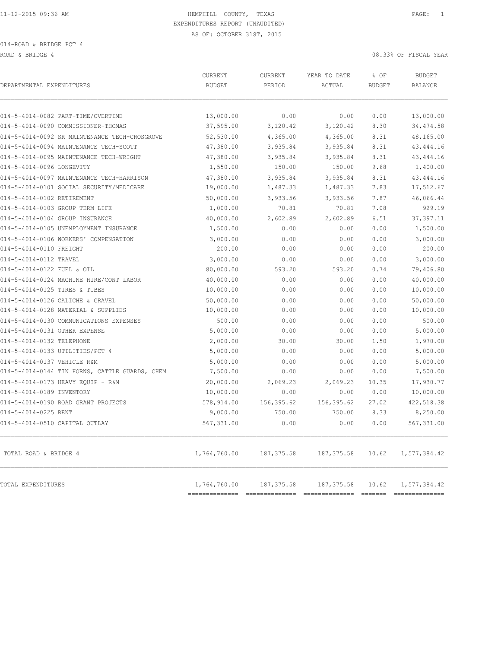ROAD & BRIDGE 4 08.33% OF FISCAL YEAR

| DEPARTMENTAL EXPENDITURES                                                 | CURRENT<br><b>BUDGET</b>       | CURRENT<br>PERIOD | YEAR TO DATE<br>ACTUAL | % OF<br><b>BUDGET</b> | <b>BUDGET</b><br><b>BALANCE</b> |
|---------------------------------------------------------------------------|--------------------------------|-------------------|------------------------|-----------------------|---------------------------------|
|                                                                           | 13,000.00                      | 0.00              |                        |                       |                                 |
| 014-5-4014-0082 PART-TIME/OVERTIME<br>014-5-4014-0090 COMMISSIONER-THOMAS | 37,595.00                      | 3,120.42          | 0.00<br>3,120.42       | 0.00<br>8.30          | 13,000.00<br>34, 474.58         |
| 014-5-4014-0092 SR MAINTENANCE TECH-CROSGROVE                             | 52,530.00                      | 4,365.00          | 4,365.00               | 8.31                  | 48,165.00                       |
| 014-5-4014-0094 MAINTENANCE TECH-SCOTT                                    | 47,380.00                      | 3,935.84          | 3,935.84               | 8.31                  | 43, 444.16                      |
| 014-5-4014-0095 MAINTENANCE TECH-WRIGHT                                   | 47,380.00                      | 3,935.84          | 3,935.84               | 8.31                  | 43, 444.16                      |
| 014-5-4014-0096 LONGEVITY                                                 | 1,550.00                       | 150.00            | 150.00                 | 9.68                  | 1,400.00                        |
| 014-5-4014-0097 MAINTENANCE TECH-HARRISON                                 | 47,380.00                      | 3,935.84          | 3,935.84               | 8.31                  | 43, 444.16                      |
| 014-5-4014-0101 SOCIAL SECURITY/MEDICARE                                  | 19,000.00                      | 1,487.33          | 1,487.33               | 7.83                  | 17,512.67                       |
| 014-5-4014-0102 RETIREMENT                                                | 50,000.00                      | 3,933.56          | 3,933.56               | 7.87                  | 46,066.44                       |
| 014-5-4014-0103 GROUP TERM LIFE                                           | 1,000.00                       | 70.81             | 70.81                  | 7.08                  | 929.19                          |
| 014-5-4014-0104 GROUP INSURANCE                                           | 40,000.00                      | 2,602.89          | 2,602.89               | 6.51                  | 37, 397.11                      |
| 014-5-4014-0105 UNEMPLOYMENT INSURANCE                                    | 1,500.00                       | 0.00              | 0.00                   | 0.00                  | 1,500.00                        |
| 014-5-4014-0106 WORKERS' COMPENSATION                                     | 3,000.00                       | 0.00              | 0.00                   | 0.00                  | 3,000.00                        |
| 014-5-4014-0110 FREIGHT                                                   | 200.00                         | 0.00              | 0.00                   | 0.00                  | 200.00                          |
| 014-5-4014-0112 TRAVEL                                                    | 3,000.00                       | 0.00              | 0.00                   | 0.00                  | 3,000.00                        |
| 014-5-4014-0122 FUEL & OIL                                                | 80,000.00                      | 593.20            | 593.20                 | 0.74                  | 79,406.80                       |
| 014-5-4014-0124 MACHINE HIRE/CONT LABOR                                   | 40,000.00                      | 0.00              | 0.00                   | 0.00                  | 40,000.00                       |
| 014-5-4014-0125 TIRES & TUBES                                             | 10,000.00                      | 0.00              | 0.00                   | 0.00                  | 10,000.00                       |
| 014-5-4014-0126 CALICHE & GRAVEL                                          | 50,000.00                      | 0.00              | 0.00                   | 0.00                  | 50,000.00                       |
| 014-5-4014-0128 MATERIAL & SUPPLIES                                       | 10,000.00                      | 0.00              | 0.00                   | 0.00                  | 10,000.00                       |
| 014-5-4014-0130 COMMUNICATIONS EXPENSES                                   | 500.00                         | 0.00              | 0.00                   | 0.00                  | 500.00                          |
| 014-5-4014-0131 OTHER EXPENSE                                             | 5,000.00                       | 0.00              | 0.00                   | 0.00                  | 5,000.00                        |
| 014-5-4014-0132 TELEPHONE                                                 | 2,000.00                       | 30.00             | 30.00                  | 1.50                  | 1,970.00                        |
| 014-5-4014-0133 UTILITIES/PCT 4                                           | 5,000.00                       | 0.00              | 0.00                   | 0.00                  | 5,000.00                        |
| 014-5-4014-0137 VEHICLE R&M                                               | 5,000.00                       | 0.00              | 0.00                   | 0.00                  | 5,000.00                        |
| 014-5-4014-0144 TIN HORNS, CATTLE GUARDS, CHEM                            | 7,500.00                       | 0.00              | 0.00                   | 0.00                  | 7,500.00                        |
| 014-5-4014-0173 HEAVY EQUIP - R&M                                         | 20,000.00                      | 2,069.23          | 2,069.23               | 10.35                 | 17,930.77                       |
| 014-5-4014-0189 INVENTORY                                                 | 10,000.00                      | 0.00              | 0.00                   | 0.00                  | 10,000.00                       |
| 014-5-4014-0190 ROAD GRANT PROJECTS                                       | 578,914.00                     | 156,395.62        | 156, 395.62            | 27.02                 | 422,518.38                      |
| 014-5-4014-0225 RENT                                                      | 9,000.00                       | 750.00            | 750.00                 | 8.33                  | 8,250.00                        |
| 014-5-4014-0510 CAPITAL OUTLAY                                            | 567,331.00                     | 0.00              | 0.00                   | 0.00                  | 567,331.00                      |
| TOTAL ROAD & BRIDGE 4                                                     | 1,764,760.00                   | 187, 375.58       | 187, 375.58            | 10.62                 | 1,577,384.42                    |
| TOTAL EXPENDITURES                                                        | 1,764,760.00<br>============== | 187, 375.58       | 187, 375.58            | 10.62                 | 1,577,384.42                    |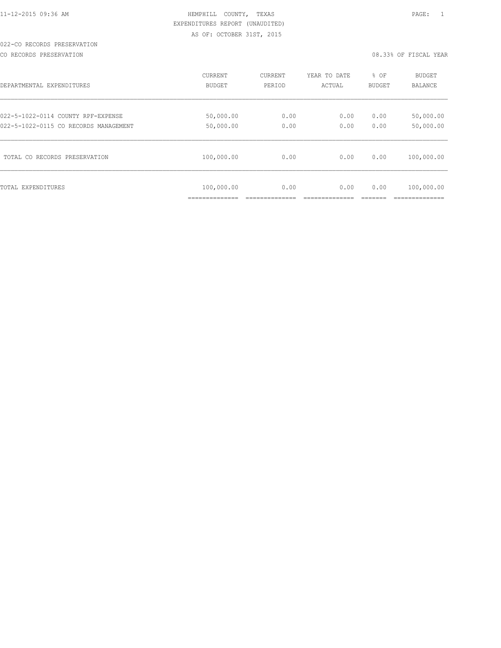### 022-CO RECORDS PRESERVATION

CO RECORDS PRESERVATION 08.33% OF FISCAL YEAR

| DEPARTMENTAL EXPENDITURES             | <b>CURRENT</b>               | CURRENT | YEAR TO DATE | % OF          | <b>BUDGET</b>                |
|---------------------------------------|------------------------------|---------|--------------|---------------|------------------------------|
|                                       | BUDGET                       | PERIOD  | ACTUAL       | <b>BUDGET</b> | <b>BALANCE</b>               |
| 022-5-1022-0114 COUNTY RPF-EXPENSE    | 50,000.00                    | 0.00    | 0.00         | 0.00          | 50,000.00                    |
| 022-5-1022-0115 CO RECORDS MANAGEMENT | 50,000.00                    | 0.00    | 0.00         | 0.00          | 50,000.00                    |
| TOTAL CO RECORDS PRESERVATION         | 100,000.00                   | 0.00    | 0.00         | 0.00          | 100,000.00                   |
| TOTAL EXPENDITURES                    | 100,000.00<br>______________ | 0.00    | 0.00         | 0.00          | 100,000.00<br>-------------- |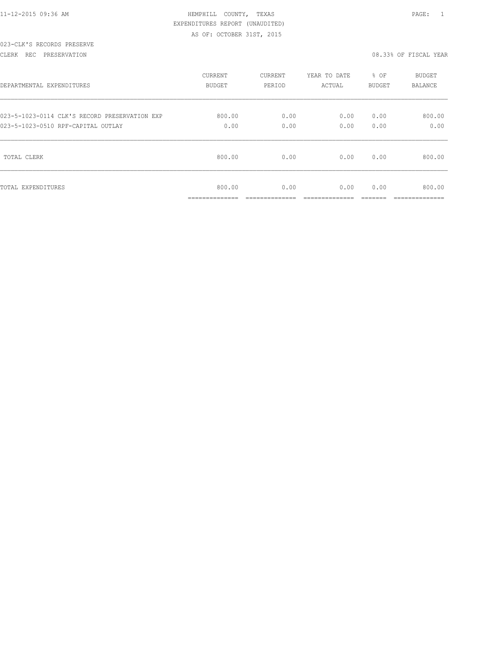|  | 11-12-2015 09:36 AM |  |  |
|--|---------------------|--|--|
|  |                     |  |  |

### 023-CLK'S RECORDS PRESERVE

CLERK REC PRESERVATION 08.33% OF FISCAL YEAR

| DEPARTMENTAL EXPENDITURES                     | <b>CURRENT</b>                        | <b>CURRENT</b>         | YEAR TO DATE          | % OF          | <b>BUDGET</b>            |
|-----------------------------------------------|---------------------------------------|------------------------|-----------------------|---------------|--------------------------|
|                                               | <b>BUDGET</b>                         | PERIOD                 | ACTUAL                | BUDGET        | <b>BALANCE</b>           |
| 023-5-1023-0114 CLK'S RECORD PRESERVATION EXP | 800.00                                | 0.00                   | 0.00                  | 0.00          | 800.00                   |
| 023-5-1023-0510 RPF-CAPITAL OUTLAY            | 0.00                                  | 0.00                   | 0.00                  | 0.00          | 0.00                     |
| TOTAL CLERK                                   | 800.00                                | 0.00                   | 0.00                  | 0.00          | 800.00                   |
| TOTAL EXPENDITURES                            | 800.00<br>______________<br>--------- | 0.00<br>______________ | 0.00<br>_____________ | 0.00<br>_____ | 800.00<br>______________ |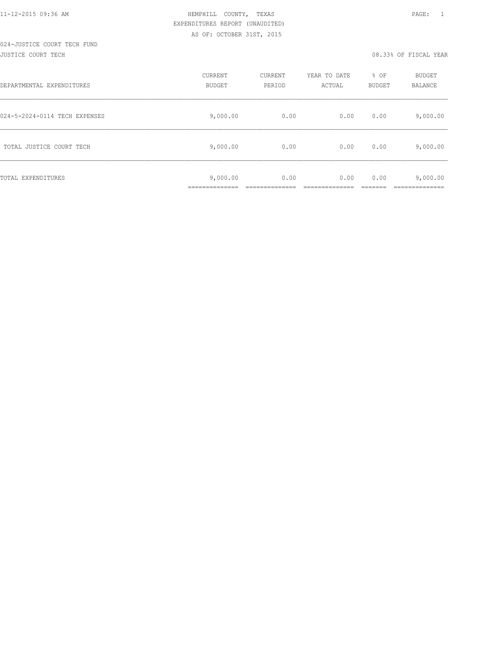# 024-JUSTICE COURT TECH FUND

### JUSTICE COURT TECH 08.33% OF FISCAL YEAR

| DEPARTMENTAL EXPENDITURES     | CURRENT<br><b>BUDGET</b> | CURRENT<br>PERIOD | YEAR TO DATE<br>ACTUAL | % OF<br><b>BUDGET</b> | BUDGET<br>BALANCE |
|-------------------------------|--------------------------|-------------------|------------------------|-----------------------|-------------------|
| 024-5-2024-0114 TECH EXPENSES | 9,000.00                 | 0.00              | 0.00                   | 0.00                  | 9,000.00          |
| TOTAL JUSTICE COURT TECH      | 9,000.00                 | 0.00              | 0.00                   | 0.00                  | 9,000.00          |
| TOTAL EXPENDITURES            | 9,000.00<br>___________  | 0.00              | 0.00                   | 0.00                  | 9,000.00          |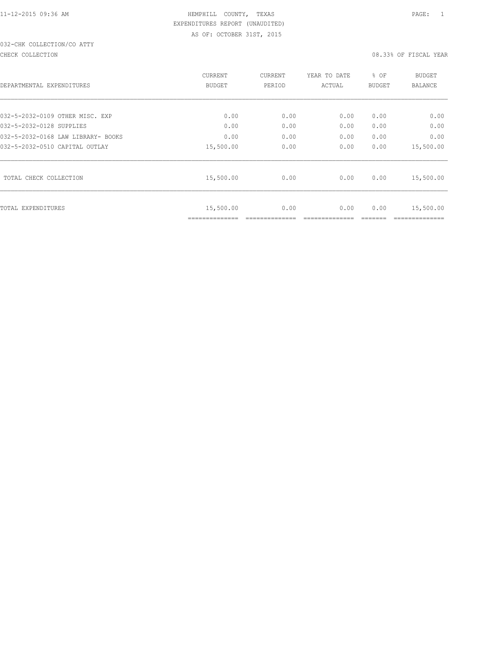## 032-CHK COLLECTION/CO ATTY

#### CHECK COLLECTION 08.33% OF FISCAL YEAR

|                                    | <b>CURRENT</b>              | CURRENT | YEAR TO DATE | % OF          | <b>BUDGET</b> |
|------------------------------------|-----------------------------|---------|--------------|---------------|---------------|
| DEPARTMENTAL EXPENDITURES          | BUDGET                      | PERIOD  | ACTUAL       | <b>BUDGET</b> | BALANCE       |
|                                    |                             |         |              |               |               |
| 032-5-2032-0109 OTHER MISC. EXP    | 0.00                        | 0.00    | 0.00         | 0.00          | 0.00          |
| 032-5-2032-0128 SUPPLIES           | 0.00                        | 0.00    | 0.00         | 0.00          | 0.00          |
| 032-5-2032-0168 LAW LIBRARY- BOOKS | 0.00                        | 0.00    | 0.00         | 0.00          | 0.00          |
| 032-5-2032-0510 CAPITAL OUTLAY     | 15,500.00                   | 0.00    | 0.00         | 0.00          | 15,500.00     |
| TOTAL CHECK COLLECTION             | 15,500.00                   | 0.00    | 0.00         | 0.00          | 15,500.00     |
| <b>TOTAL EXPENDITURES</b>          | 15,500.00<br>============== | 0.00    | 0.00         | 0.00          | 15,500.00     |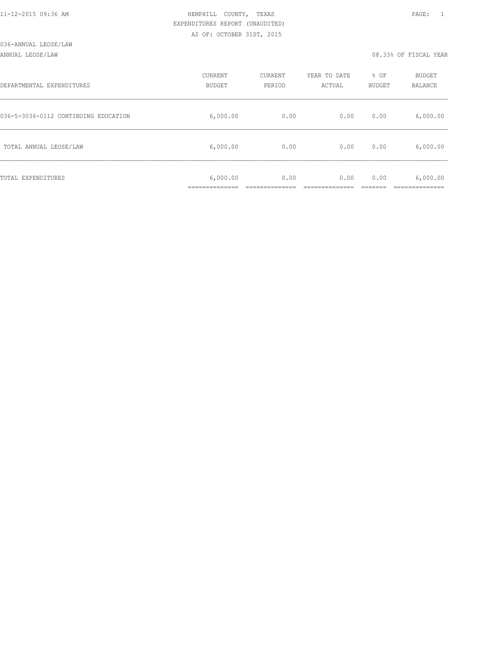### ANNUAL LEOSE/LAW 08.33% OF FISCAL YEAR

| DEPARTMENTAL EXPENDITURES            | CURRENT<br><b>BUDGET</b> | CURRENT<br>PERIOD | YEAR TO DATE<br>ACTUAL | % OF<br>BUDGET | BUDGET<br>BALANCE |
|--------------------------------------|--------------------------|-------------------|------------------------|----------------|-------------------|
| 036-5-3036-0112 CONTINUING EDUCATION | 6,000.00                 | 0.00              | 0.00                   | 0.00           | 6,000.00          |
| TOTAL ANNUAL LEOSE/LAW               | 6,000.00                 | 0.00              | 0.00                   | 0.00           | 6,000.00          |
| TOTAL EXPENDITURES                   | 6,000.00                 | 0.00              | 0.00                   | 0.00           | 6,000.00          |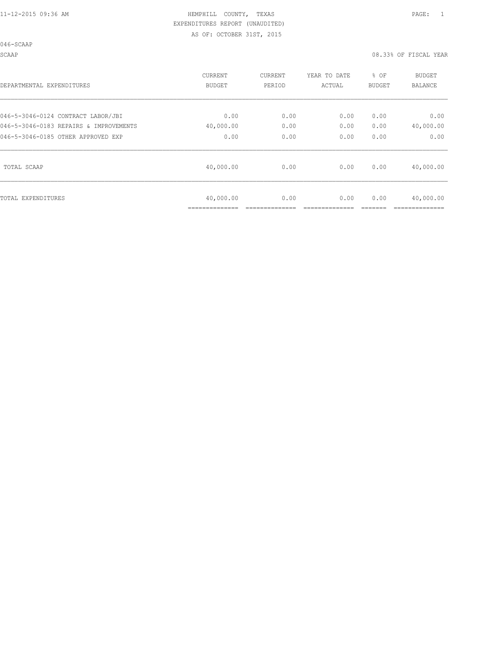| DEPARTMENTAL EXPENDITURES              | <b>CURRENT</b><br><b>BUDGET</b> | CURRENT<br>PERIOD | YEAR TO DATE<br>ACTUAL | % OF<br>BUDGET | <b>BUDGET</b><br><b>BALANCE</b> |
|----------------------------------------|---------------------------------|-------------------|------------------------|----------------|---------------------------------|
| 046-5-3046-0124 CONTRACT LABOR/JBI     | 0.00                            | 0.00              | 0.00                   | 0.00           | 0.00                            |
| 046-5-3046-0183 REPAIRS & IMPROVEMENTS | 40,000.00                       | 0.00              | 0.00                   | 0.00           | 40,000.00                       |
| 046-5-3046-0185 OTHER APPROVED EXP     | 0.00                            | 0.00              | 0.00                   | 0.00           | 0.00                            |
| TOTAL SCAAP                            | 40,000.00                       | 0.00              | 0.00                   | 0.00           | 40,000.00                       |
| TOTAL EXPENDITURES                     | 40,000.00<br>===========        | 0.00              | 0.00                   | 0.00           | 40,000.00                       |